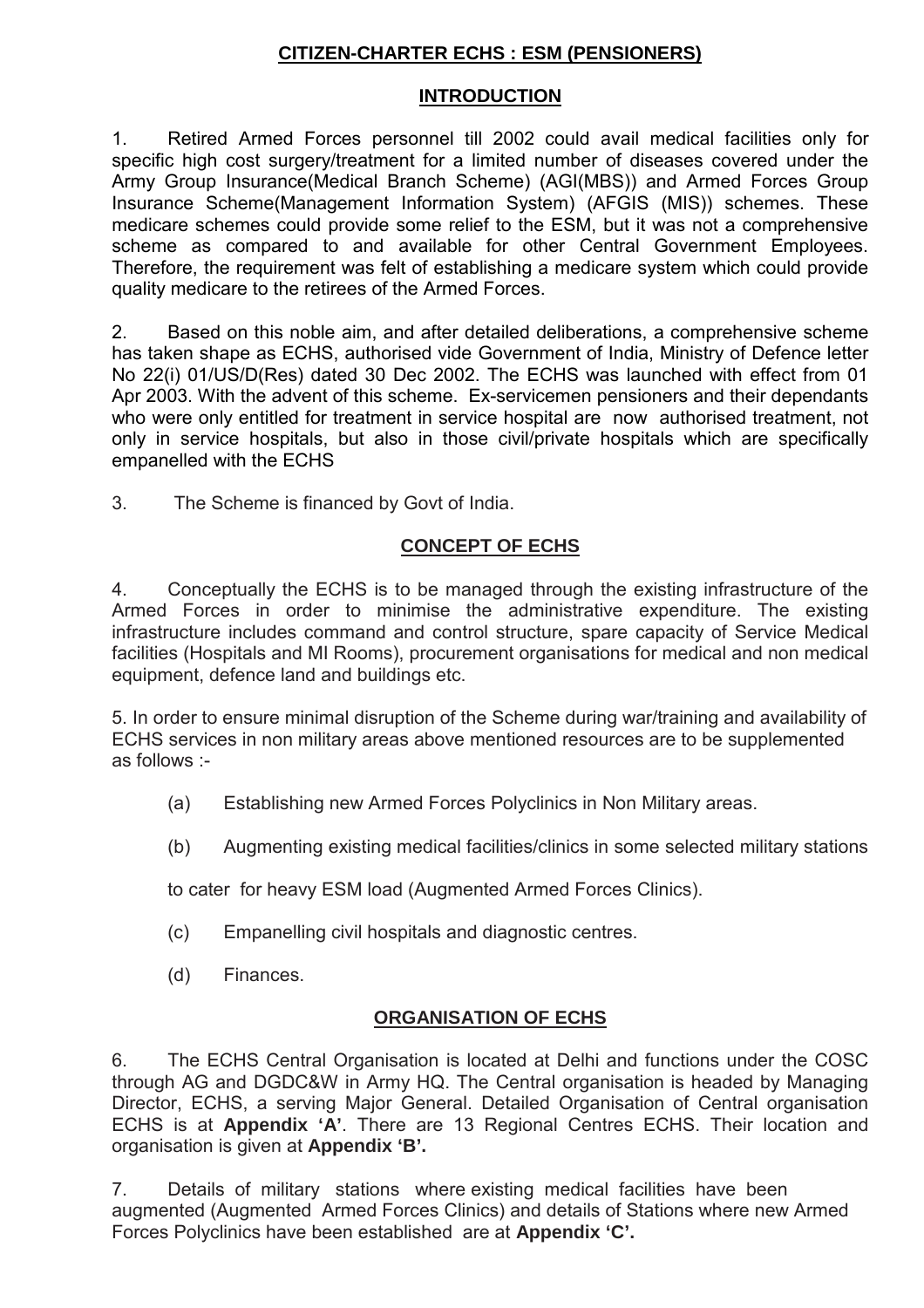# **CITIZEN-CHARTER ECHS : ESM (PENSIONERS)**

## **INTRODUCTION**

1. Retired Armed Forces personnel till 2002 could avail medical facilities only for specific high cost surgery/treatment for a limited number of diseases covered under the Army Group Insurance(Medical Branch Scheme) (AGI(MBS)) and Armed Forces Group Insurance Scheme(Management Information System) (AFGIS (MIS)) schemes. These medicare schemes could provide some relief to the ESM, but it was not a comprehensive scheme as compared to and available for other Central Government Employees. Therefore, the requirement was felt of establishing a medicare system which could provide quality medicare to the retirees of the Armed Forces.

2. Based on this noble aim, and after detailed deliberations, a comprehensive scheme has taken shape as ECHS, authorised vide Government of India, Ministry of Defence letter No 22(i) 01/US/D(Res) dated 30 Dec 2002. The ECHS was launched with effect from 01 Apr 2003. With the advent of this scheme. Ex-servicemen pensioners and their dependants who were only entitled for treatment in service hospital are now authorised treatment, not only in service hospitals, but also in those civil/private hospitals which are specifically empanelled with the ECHS

3. The Scheme is financed by Govt of India.

#### **CONCEPT OF ECHS**

4. Conceptually the ECHS is to be managed through the existing infrastructure of the Armed Forces in order to minimise the administrative expenditure. The existing infrastructure includes command and control structure, spare capacity of Service Medical facilities (Hospitals and MI Rooms), procurement organisations for medical and non medical equipment, defence land and buildings etc.

5. In order to ensure minimal disruption of the Scheme during war/training and availability of ECHS services in non military areas above mentioned resources are to be supplemented as follows :-

- (a) Establishing new Armed Forces Polyclinics in Non Military areas.
- (b) Augmenting existing medical facilities/clinics in some selected military stations

to cater for heavy ESM load (Augmented Armed Forces Clinics).

- (c) Empanelling civil hospitals and diagnostic centres.
- (d) Finances.

# **ORGANISATION OF ECHS**

6. The ECHS Central Organisation is located at Delhi and functions under the COSC through AG and DGDC&W in Army HQ. The Central organisation is headed by Managing Director, ECHS, a serving Major General. Detailed Organisation of Central organisation ECHS is at **Appendix 'A'**. There are 13 Regional Centres ECHS. Their location and organisation is given at **Appendix 'B'.** 

7. Details of military stations where existing medical facilities have been augmented (Augmented Armed Forces Clinics) and details of Stations where new Armed Forces Polyclinics have been established are at **Appendix 'C'.**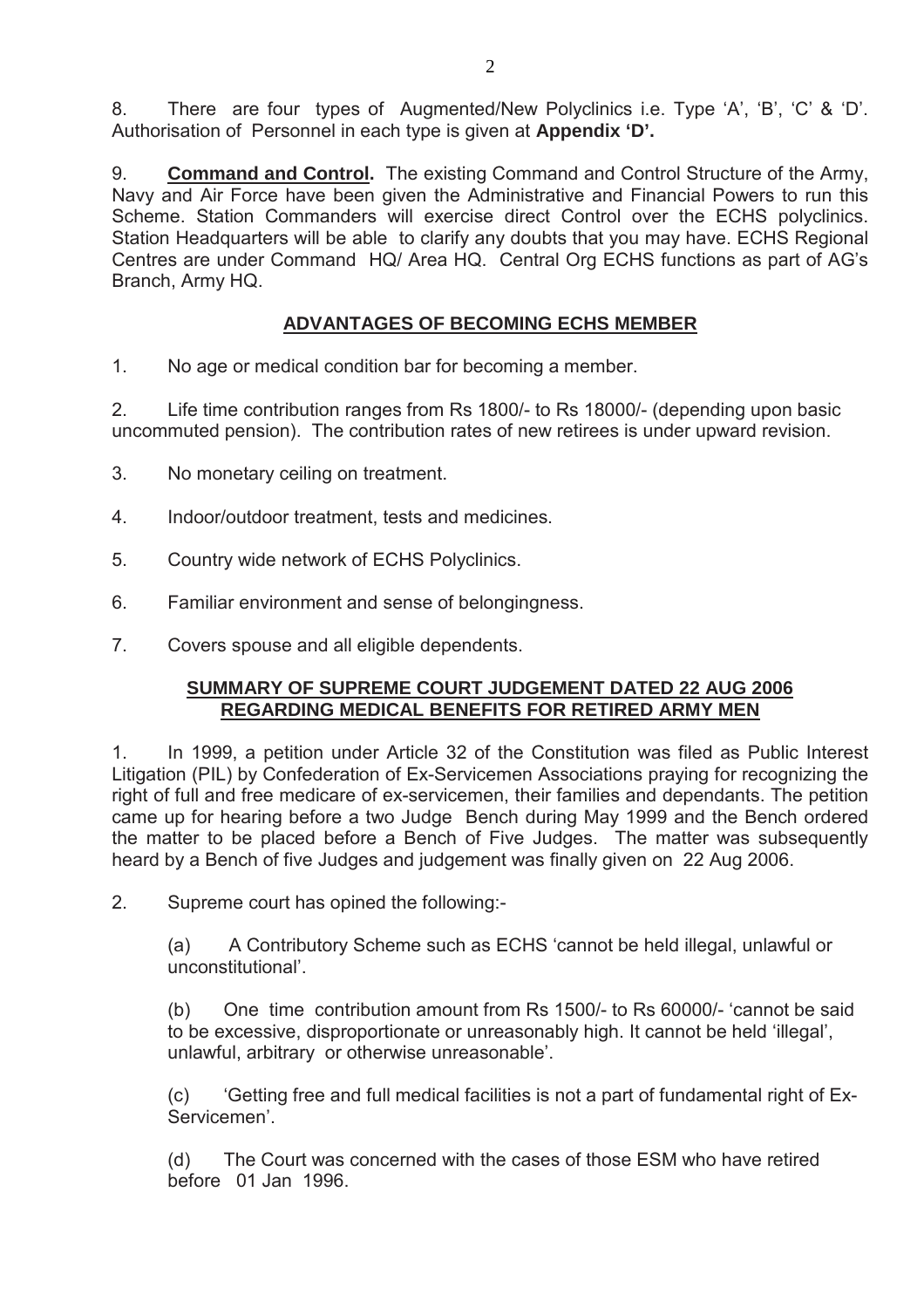8. There are four types of Augmented/New Polyclinics i.e. Type 'A', 'B', 'C' & 'D'. Authorisation of Personnel in each type is given at **Appendix 'D'.** 

9. **Command and Control.** The existing Command and Control Structure of the Army, Navy and Air Force have been given the Administrative and Financial Powers to run this Scheme. Station Commanders will exercise direct Control over the ECHS polyclinics. Station Headquarters will be able to clarify any doubts that you may have. ECHS Regional Centres are under Command HQ/ Area HQ. Central Org ECHS functions as part of AG's Branch, Army HQ.

## **ADVANTAGES OF BECOMING ECHS MEMBER**

1. No age or medical condition bar for becoming a member.

2. Life time contribution ranges from Rs 1800/- to Rs 18000/- (depending upon basic uncommuted pension). The contribution rates of new retirees is under upward revision.

- 3. No monetary ceiling on treatment.
- 4. Indoor/outdoor treatment, tests and medicines.
- 5. Country wide network of ECHS Polyclinics.
- 6. Familiar environment and sense of belongingness.
- 7. Covers spouse and all eligible dependents.

## **SUMMARY OF SUPREME COURT JUDGEMENT DATED 22 AUG 2006 REGARDING MEDICAL BENEFITS FOR RETIRED ARMY MEN**

1. In 1999, a petition under Article 32 of the Constitution was filed as Public Interest Litigation (PIL) by Confederation of Ex-Servicemen Associations praying for recognizing the right of full and free medicare of ex-servicemen, their families and dependants. The petition came up for hearing before a two Judge Bench during May 1999 and the Bench ordered the matter to be placed before a Bench of Five Judges. The matter was subsequently heard by a Bench of five Judges and judgement was finally given on 22 Aug 2006.

2. Supreme court has opined the following:-

(a) A Contributory Scheme such as ECHS 'cannot be held illegal, unlawful or unconstitutional'.

(b) One time contribution amount from Rs 1500/- to Rs 60000/- 'cannot be said to be excessive, disproportionate or unreasonably high. It cannot be held 'illegal', unlawful, arbitrary or otherwise unreasonable'.

(c) 'Getting free and full medical facilities is not a part of fundamental right of Ex-Servicemen'.

(d) The Court was concerned with the cases of those ESM who have retired before 01 Jan 1996.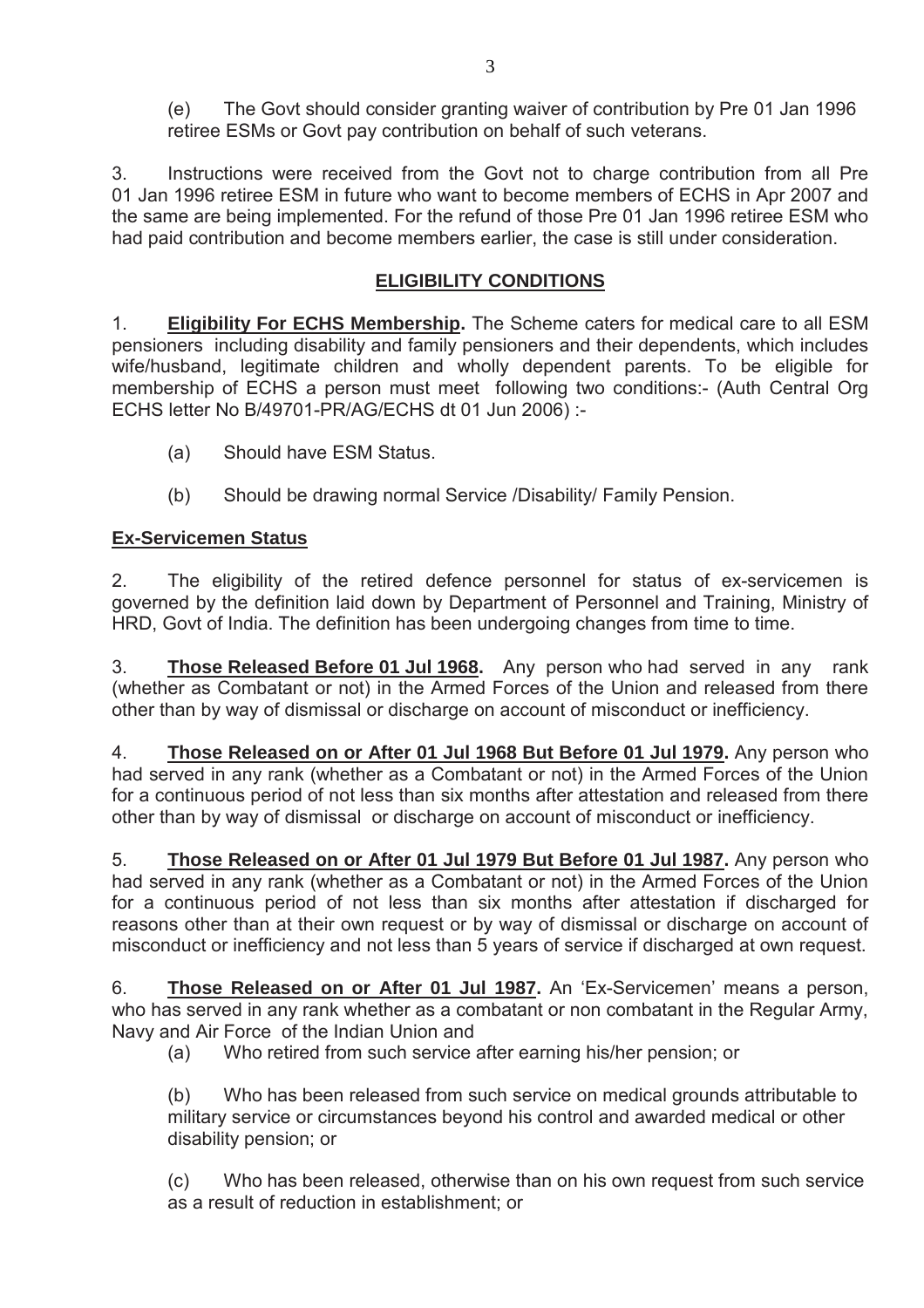(e) The Govt should consider granting waiver of contribution by Pre 01 Jan 1996 retiree ESMs or Govt pay contribution on behalf of such veterans.

3. Instructions were received from the Govt not to charge contribution from all Pre 01 Jan 1996 retiree ESM in future who want to become members of ECHS in Apr 2007 and the same are being implemented. For the refund of those Pre 01 Jan 1996 retiree ESM who had paid contribution and become members earlier, the case is still under consideration.

# **ELIGIBILITY CONDITIONS**

1. **Eligibility For ECHS Membership.** The Scheme caters for medical care to all ESM pensioners including disability and family pensioners and their dependents, which includes wife/husband, legitimate children and wholly dependent parents. To be eligible for membership of ECHS a person must meet following two conditions:- (Auth Central Org ECHS letter No B/49701-PR/AG/ECHS dt 01 Jun 2006) :-

- (a) Should have ESM Status.
- (b) Should be drawing normal Service /Disability/ Family Pension.

# **Ex-Servicemen Status**

2. The eligibility of the retired defence personnel for status of ex-servicemen is governed by the definition laid down by Department of Personnel and Training, Ministry of HRD, Govt of India. The definition has been undergoing changes from time to time.

3. **Those Released Before 01 Jul 1968.** Any person who had served in any rank (whether as Combatant or not) in the Armed Forces of the Union and released from there other than by way of dismissal or discharge on account of misconduct or inefficiency.

4. **Those Released on or After 01 Jul 1968 But Before 01 Jul 1979.** Any person who had served in any rank (whether as a Combatant or not) in the Armed Forces of the Union for a continuous period of not less than six months after attestation and released from there other than by way of dismissal or discharge on account of misconduct or inefficiency.

5. **Those Released on or After 01 Jul 1979 But Before 01 Jul 1987.** Any person who had served in any rank (whether as a Combatant or not) in the Armed Forces of the Union for a continuous period of not less than six months after attestation if discharged for reasons other than at their own request or by way of dismissal or discharge on account of misconduct or inefficiency and not less than 5 years of service if discharged at own request.

6. **Those Released on or After 01 Jul 1987.** An 'Ex-Servicemen' means a person, who has served in any rank whether as a combatant or non combatant in the Regular Army, Navy and Air Force of the Indian Union and

(a) Who retired from such service after earning his/her pension; or

(b) Who has been released from such service on medical grounds attributable to military service or circumstances beyond his control and awarded medical or other disability pension; or

(c) Who has been released, otherwise than on his own request from such service as a result of reduction in establishment; or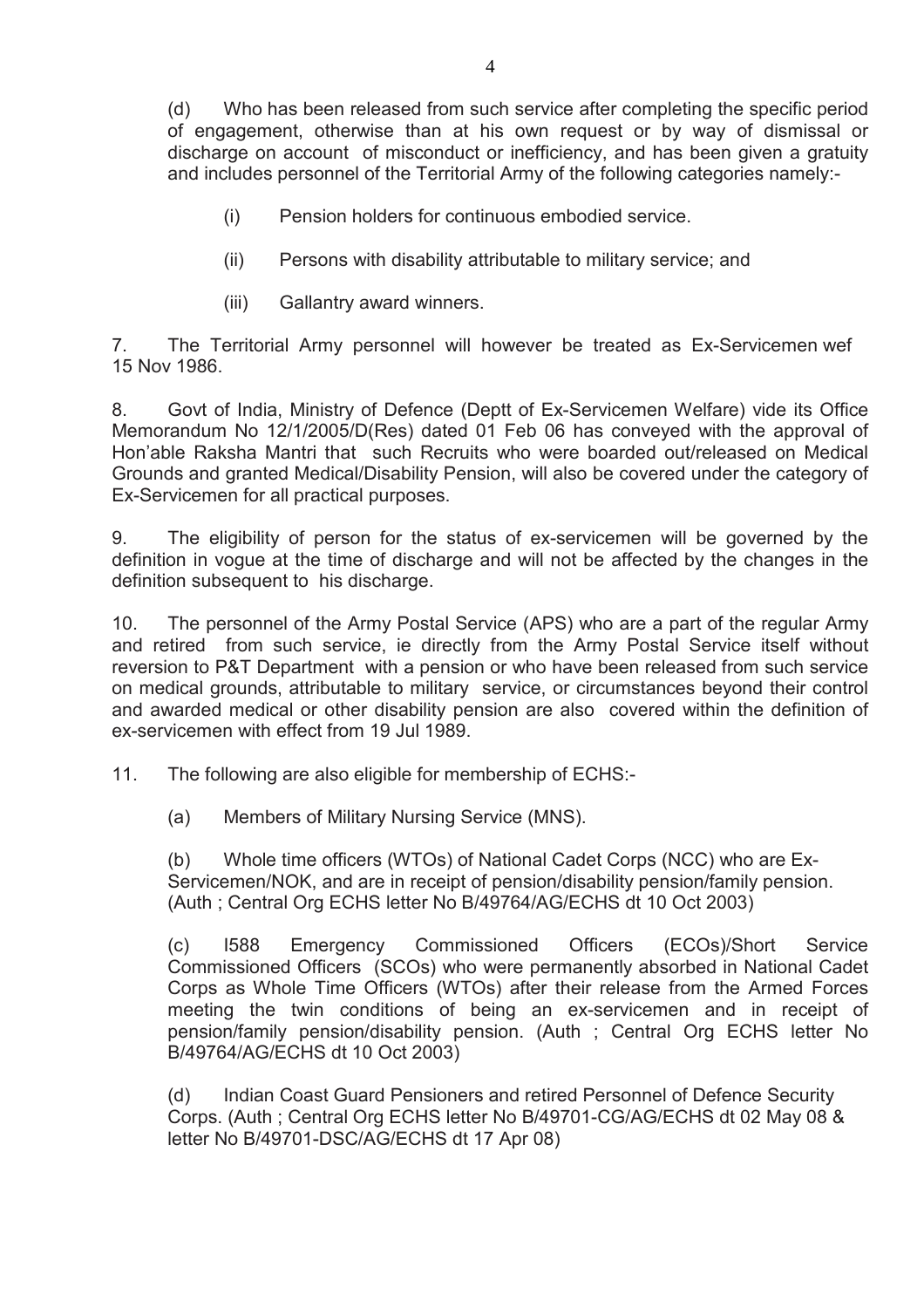(d) Who has been released from such service after completing the specific period of engagement, otherwise than at his own request or by way of dismissal or discharge on account of misconduct or inefficiency, and has been given a gratuity and includes personnel of the Territorial Army of the following categories namely:-

- (i) Pension holders for continuous embodied service.
- (ii) Persons with disability attributable to military service; and
- (iii) Gallantry award winners.

7. The Territorial Army personnel will however be treated as Ex-Servicemen wef 15 Nov 1986.

8. Govt of India, Ministry of Defence (Deptt of Ex-Servicemen Welfare) vide its Office Memorandum No 12/1/2005/D(Res) dated 01 Feb 06 has conveyed with the approval of Hon'able Raksha Mantri that such Recruits who were boarded out/released on Medical Grounds and granted Medical/Disability Pension, will also be covered under the category of Ex-Servicemen for all practical purposes.

9. The eligibility of person for the status of ex-servicemen will be governed by the definition in vogue at the time of discharge and will not be affected by the changes in the definition subsequent to his discharge.

10. The personnel of the Army Postal Service (APS) who are a part of the regular Army and retired from such service, ie directly from the Army Postal Service itself without reversion to P&T Department with a pension or who have been released from such service on medical grounds, attributable to military service, or circumstances beyond their control and awarded medical or other disability pension are also covered within the definition of ex-servicemen with effect from 19 Jul 1989.

11. The following are also eligible for membership of ECHS:-

(a) Members of Military Nursing Service (MNS).

(b) Whole time officers (WTOs) of National Cadet Corps (NCC) who are Ex-Servicemen/NOK, and are in receipt of pension/disability pension/family pension. (Auth ; Central Org ECHS letter No B/49764/AG/ECHS dt 10 Oct 2003)

(c) I588 Emergency Commissioned Officers (ECOs)/Short Service Commissioned Officers (SCOs) who were permanently absorbed in National Cadet Corps as Whole Time Officers (WTOs) after their release from the Armed Forces meeting the twin conditions of being an ex-servicemen and in receipt of pension/family pension/disability pension. (Auth ; Central Org ECHS letter No B/49764/AG/ECHS dt 10 Oct 2003)

(d) Indian Coast Guard Pensioners and retired Personnel of Defence Security Corps. (Auth ; Central Org ECHS letter No B/49701-CG/AG/ECHS dt 02 May 08 & letter No B/49701-DSC/AG/ECHS dt 17 Apr 08)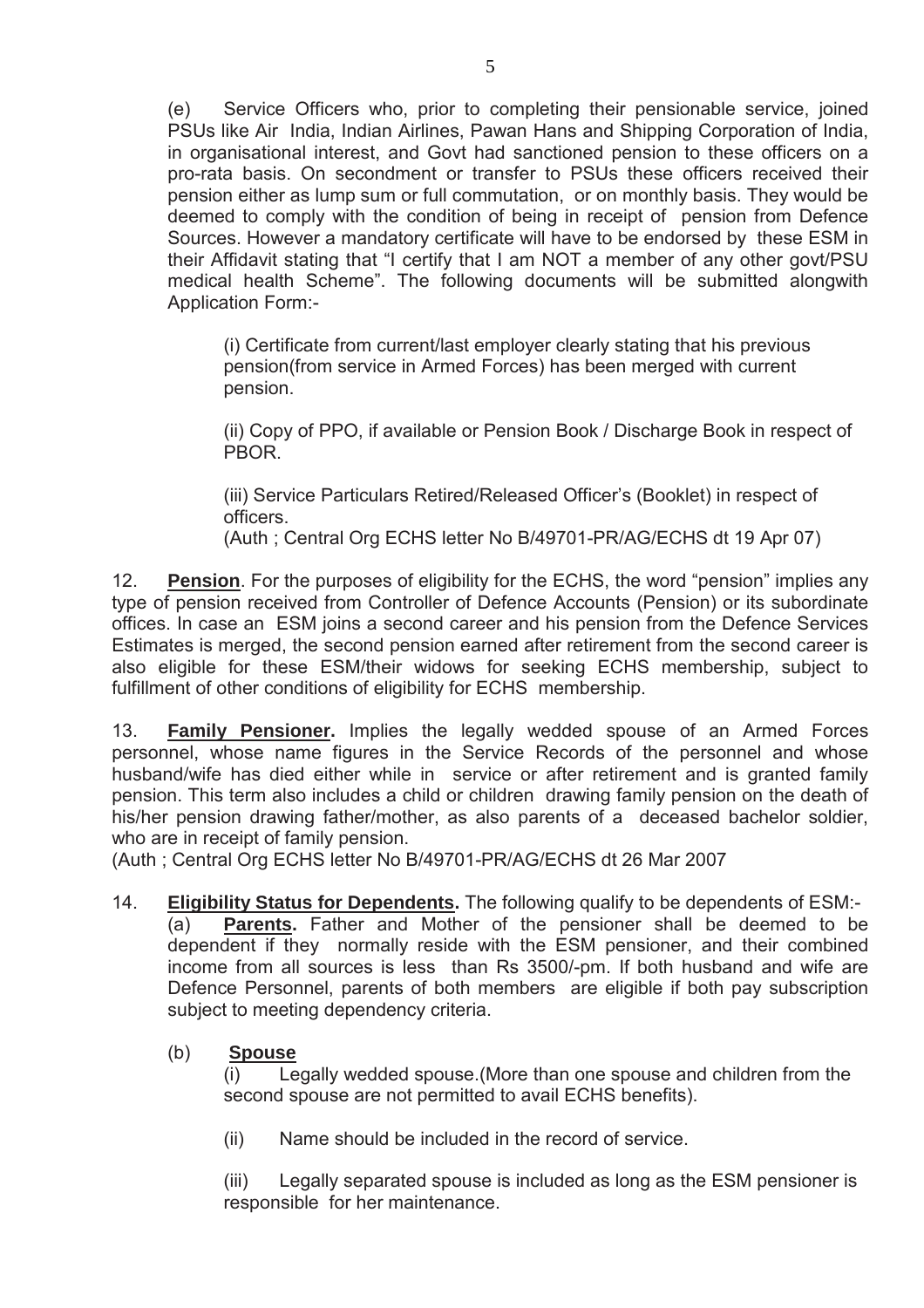(e) Service Officers who, prior to completing their pensionable service, joined PSUs like Air India, Indian Airlines, Pawan Hans and Shipping Corporation of India, in organisational interest, and Govt had sanctioned pension to these officers on a pro-rata basis. On secondment or transfer to PSUs these officers received their pension either as lump sum or full commutation, or on monthly basis. They would be deemed to comply with the condition of being in receipt of pension from Defence Sources. However a mandatory certificate will have to be endorsed by these ESM in their Affidavit stating that "I certify that I am NOT a member of any other govt/PSU medical health Scheme". The following documents will be submitted alongwith Application Form:-

(i) Certificate from current/last employer clearly stating that his previous pension(from service in Armed Forces) has been merged with current pension.

(ii) Copy of PPO, if available or Pension Book / Discharge Book in respect of PBOR.

(iii) Service Particulars Retired/Released Officer's (Booklet) in respect of officers.

(Auth ; Central Org ECHS letter No B/49701-PR/AG/ECHS dt 19 Apr 07)

12. **Pension**. For the purposes of eligibility for the ECHS, the word "pension" implies any type of pension received from Controller of Defence Accounts (Pension) or its subordinate offices. In case an ESM joins a second career and his pension from the Defence Services Estimates is merged, the second pension earned after retirement from the second career is also eligible for these ESM/their widows for seeking ECHS membership, subject to fulfillment of other conditions of eligibility for ECHS membership.

13. **Family Pensioner.** Implies the legally wedded spouse of an Armed Forces personnel, whose name figures in the Service Records of the personnel and whose husband/wife has died either while in service or after retirement and is granted family pension. This term also includes a child or children drawing family pension on the death of his/her pension drawing father/mother, as also parents of a deceased bachelor soldier, who are in receipt of family pension.

(Auth ; Central Org ECHS letter No B/49701-PR/AG/ECHS dt 26 Mar 2007

14. **Eligibility Status for Dependents.** The following qualify to be dependents of ESM:-

(a) **Parents.** Father and Mother of the pensioner shall be deemed to be dependent if they normally reside with the ESM pensioner, and their combined income from all sources is less than Rs 3500/-pm. If both husband and wife are Defence Personnel, parents of both members are eligible if both pay subscription subject to meeting dependency criteria.

# (b) **Spouse**

(i) Legally wedded spouse.(More than one spouse and children from the second spouse are not permitted to avail ECHS benefits).

(ii) Name should be included in the record of service.

(iii) Legally separated spouse is included as long as the ESM pensioner is responsible for her maintenance.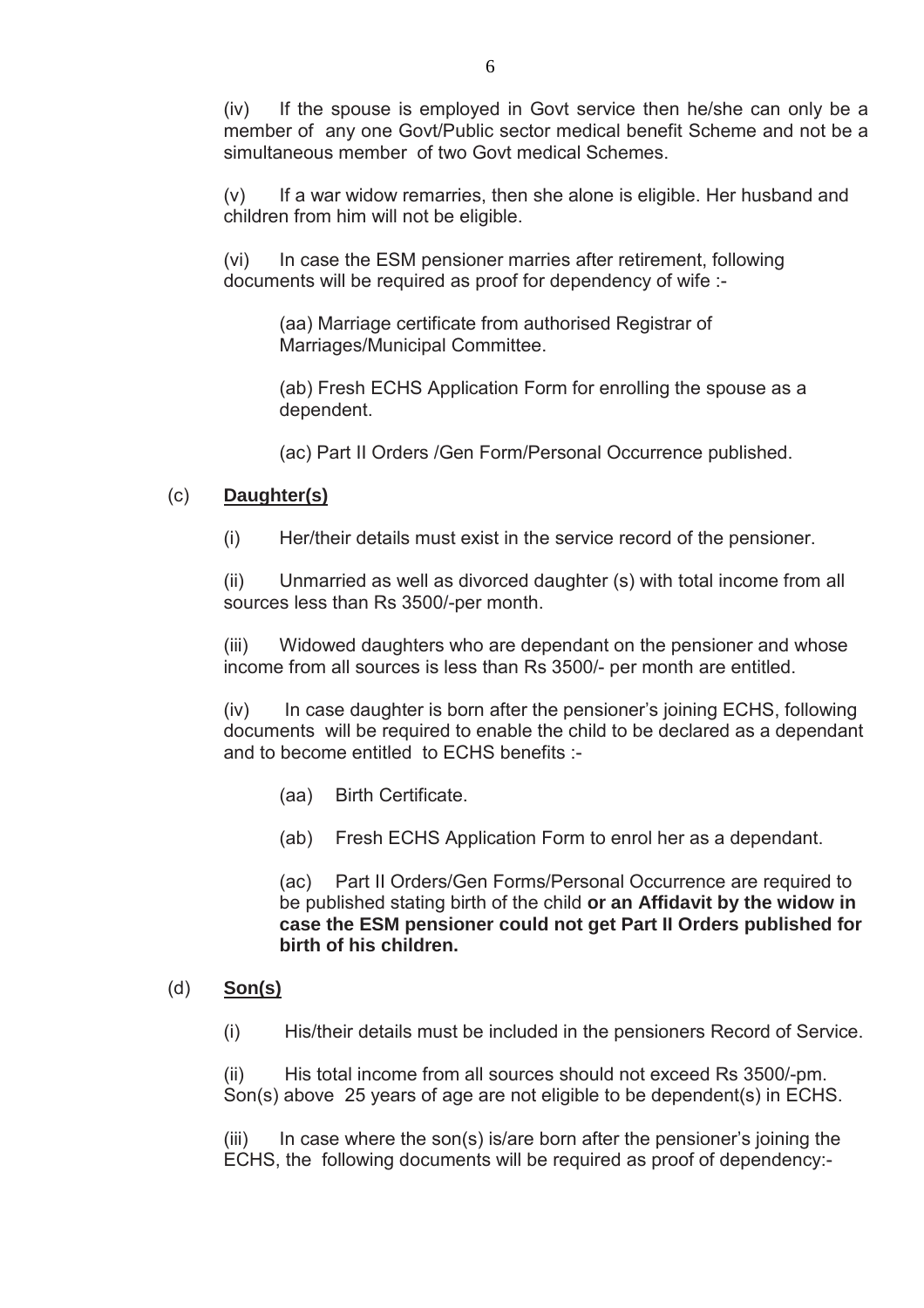(iv) If the spouse is employed in Govt service then he/she can only be a member of any one Govt/Public sector medical benefit Scheme and not be a simultaneous member of two Govt medical Schemes.

(v) If a war widow remarries, then she alone is eligible. Her husband and children from him will not be eligible.

(vi) In case the ESM pensioner marries after retirement, following documents will be required as proof for dependency of wife :-

(aa) Marriage certificate from authorised Registrar of Marriages/Municipal Committee.

(ab) Fresh ECHS Application Form for enrolling the spouse as a dependent.

(ac) Part II Orders /Gen Form/Personal Occurrence published.

#### (c) **Daughter(s)**

(i) Her/their details must exist in the service record of the pensioner.

(ii) Unmarried as well as divorced daughter (s) with total income from all sources less than Rs 3500/-per month.

(iii) Widowed daughters who are dependant on the pensioner and whose income from all sources is less than Rs 3500/- per month are entitled.

(iv) In case daughter is born after the pensioner's joining ECHS, following documents will be required to enable the child to be declared as a dependant and to become entitled to ECHS benefits :-

- (aa) Birth Certificate.
- (ab) Fresh ECHS Application Form to enrol her as a dependant.

(ac) Part II Orders/Gen Forms/Personal Occurrence are required to be published stating birth of the child **or an Affidavit by the widow in case the ESM pensioner could not get Part II Orders published for birth of his children.** 

#### (d) **Son(s)**

(i) His/their details must be included in the pensioners Record of Service.

(ii) His total income from all sources should not exceed Rs 3500/-pm. Son(s) above 25 years of age are not eligible to be dependent(s) in ECHS.

 $(iii)$  In case where the son(s) is/are born after the pensioner's joining the ECHS, the following documents will be required as proof of dependency:-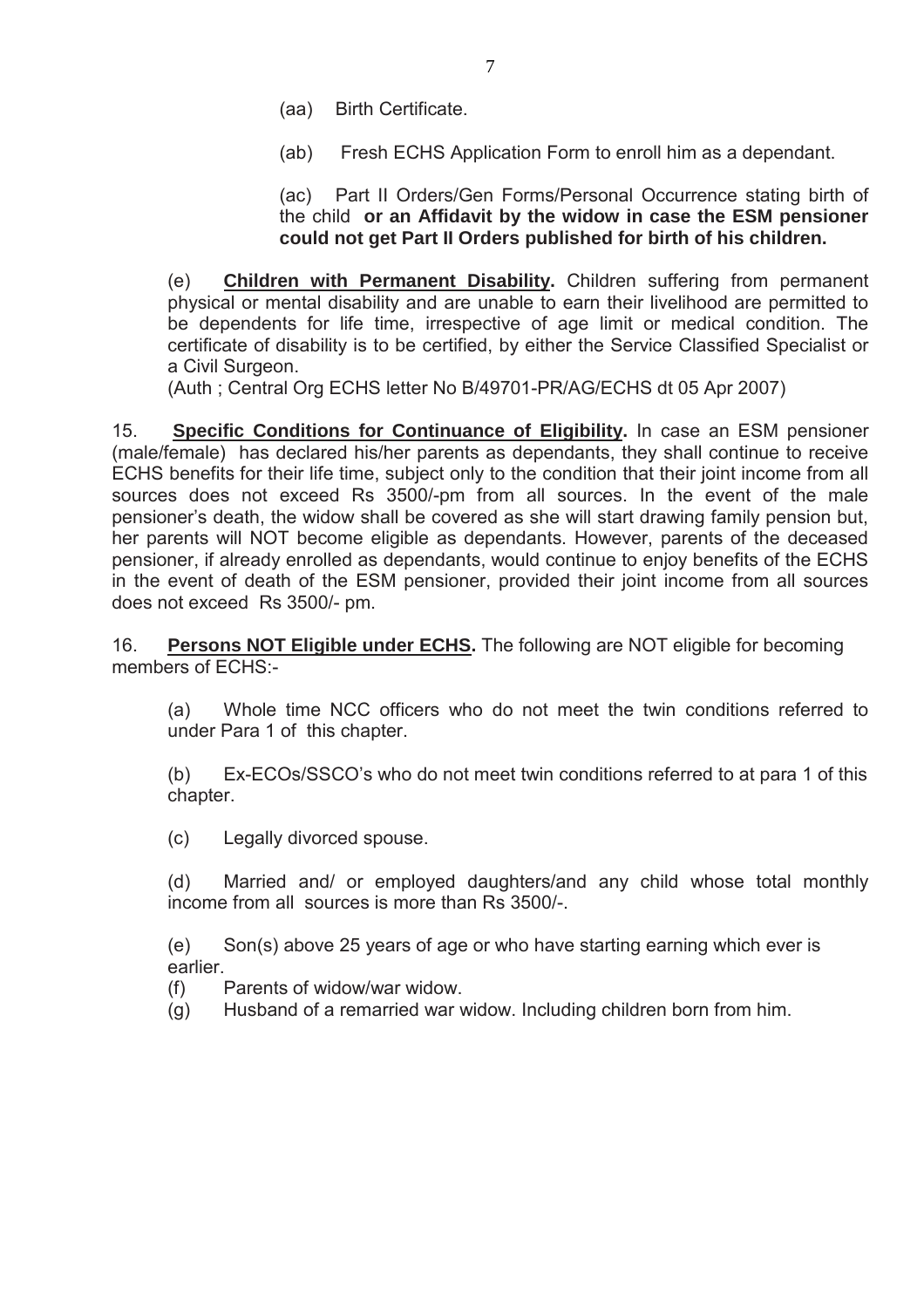- (aa) Birth Certificate.
- (ab) Fresh ECHS Application Form to enroll him as a dependant.

(ac) Part II Orders/Gen Forms/Personal Occurrence stating birth of the child **or an Affidavit by the widow in case the ESM pensioner could not get Part II Orders published for birth of his children.** 

(e) **Children with Permanent Disability.** Children suffering from permanent physical or mental disability and are unable to earn their livelihood are permitted to be dependents for life time, irrespective of age limit or medical condition. The certificate of disability is to be certified, by either the Service Classified Specialist or a Civil Surgeon.

(Auth ; Central Org ECHS letter No B/49701-PR/AG/ECHS dt 05 Apr 2007)

15. **Specific Conditions for Continuance of Eligibility.** In case an ESM pensioner (male/female) has declared his/her parents as dependants, they shall continue to receive ECHS benefits for their life time, subject only to the condition that their joint income from all sources does not exceed Rs 3500/-pm from all sources. In the event of the male pensioner's death, the widow shall be covered as she will start drawing family pension but, her parents will NOT become eligible as dependants. However, parents of the deceased pensioner, if already enrolled as dependants, would continue to enjoy benefits of the ECHS in the event of death of the ESM pensioner, provided their joint income from all sources does not exceed Rs 3500/- pm.

16. **Persons NOT Eligible under ECHS.** The following are NOT eligible for becoming members of ECHS:-

(a) Whole time NCC officers who do not meet the twin conditions referred to under Para 1 of this chapter.

(b) Ex-ECOs/SSCO's who do not meet twin conditions referred to at para 1 of this chapter.

(c) Legally divorced spouse.

(d) Married and/ or employed daughters/and any child whose total monthly income from all sources is more than Rs 3500/-.

(e) Son(s) above 25 years of age or who have starting earning which ever is earlier.

- (f) Parents of widow/war widow.
- (g) Husband of a remarried war widow. Including children born from him.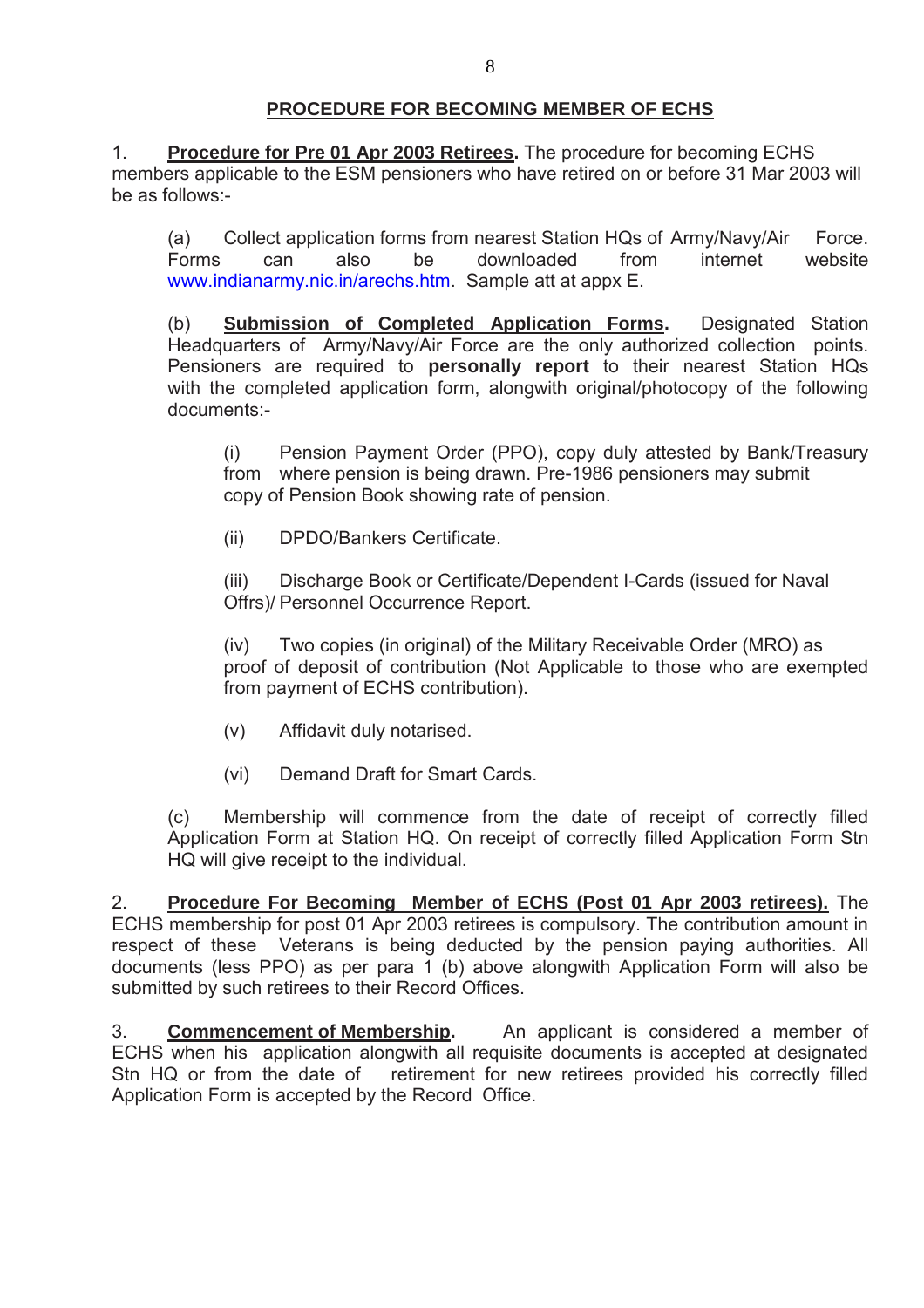## **PROCEDURE FOR BECOMING MEMBER OF ECHS**

1. **Procedure for Pre 01 Apr 2003 Retirees.** The procedure for becoming ECHS members applicable to the ESM pensioners who have retired on or before 31 Mar 2003 will be as follows:-

 (a) Collect application forms from nearest Station HQs of Army/Navy/Air Force. Forms can also be downloaded from internet website www.indianarmy.nic.in/arechs.htm. Sample att at appx E.

 (b) **Submission of Completed Application Forms.** Designated Station Headquarters of Army/Navy/Air Force are the only authorized collection points. Pensioners are required to **personally report** to their nearest Station HQs with the completed application form, alongwith original/photocopy of the following documents:-

 (i) Pension Payment Order (PPO), copy duly attested by Bank/Treasury from where pension is being drawn. Pre-1986 pensioners may submit copy of Pension Book showing rate of pension.

(ii) DPDO/Bankers Certificate.

 (iii) Discharge Book or Certificate/Dependent I-Cards (issued for Naval Offrs)/ Personnel Occurrence Report.

 (iv) Two copies (in original) of the Military Receivable Order (MRO) as proof of deposit of contribution (Not Applicable to those who are exempted from payment of ECHS contribution).

- (v) Affidavit duly notarised.
- (vi) Demand Draft for Smart Cards.

(c) Membership will commence from the date of receipt of correctly filled Application Form at Station HQ. On receipt of correctly filled Application Form Stn HQ will give receipt to the individual.

2. **Procedure For Becoming Member of ECHS (Post 01 Apr 2003 retirees).** The ECHS membership for post 01 Apr 2003 retirees is compulsory. The contribution amount in respect of these Veterans is being deducted by the pension paying authorities. All documents (less PPO) as per para 1 (b) above alongwith Application Form will also be submitted by such retirees to their Record Offices.

3. **Commencement of Membership.** An applicant is considered a member of ECHS when his application alongwith all requisite documents is accepted at designated Stn HQ or from the date of retirement for new retirees provided his correctly filled Application Form is accepted by the Record Office.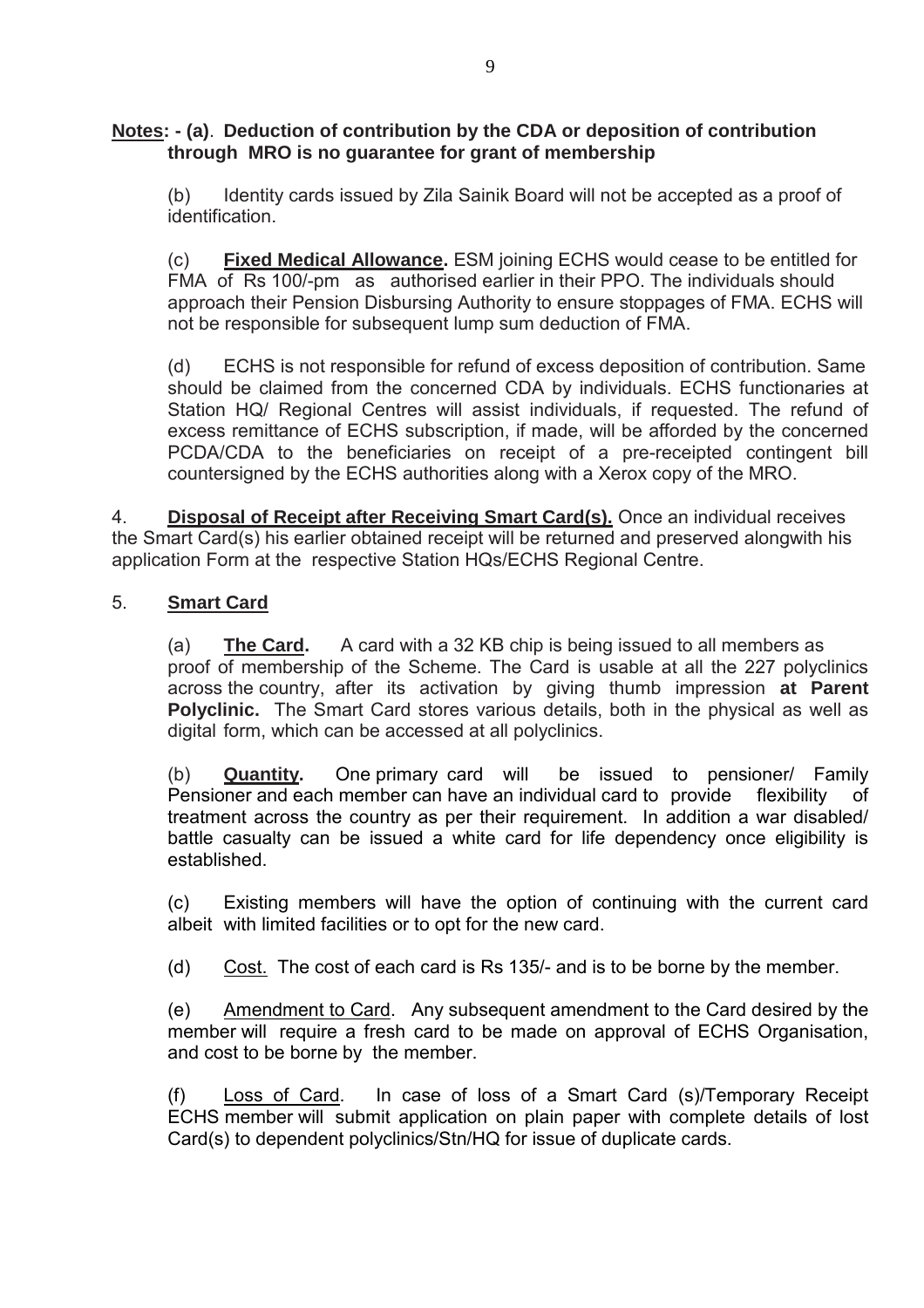#### **Notes: - (a)**. **Deduction of contribution by the CDA or deposition of contribution through MRO is no guarantee for grant of membership**

 (b) Identity cards issued by Zila Sainik Board will not be accepted as a proof of identification.

 (c) **Fixed Medical Allowance.** ESM joining ECHS would cease to be entitled for FMA of Rs 100/-pm as authorised earlier in their PPO. The individuals should approach their Pension Disbursing Authority to ensure stoppages of FMA. ECHS will not be responsible for subsequent lump sum deduction of FMA.

 (d) ECHS is not responsible for refund of excess deposition of contribution. Same should be claimed from the concerned CDA by individuals. ECHS functionaries at Station HQ/ Regional Centres will assist individuals, if requested. The refund of excess remittance of ECHS subscription, if made, will be afforded by the concerned PCDA/CDA to the beneficiaries on receipt of a pre-receipted contingent bill countersigned by the ECHS authorities along with a Xerox copy of the MRO.

4. **Disposal of Receipt after Receiving Smart Card(s).** Once an individual receives the Smart Card(s) his earlier obtained receipt will be returned and preserved alongwith his application Form at the respective Station HQs/ECHS Regional Centre.

## 5. **Smart Card**

 (a) **The Card.** A card with a 32 KB chip is being issued to all members as proof of membership of the Scheme. The Card is usable at all the 227 polyclinics across the country, after its activation by giving thumb impression **at Parent Polyclinic.** The Smart Card stores various details, both in the physical as well as digital form, which can be accessed at all polyclinics.

 (b) **Quantity.** One primary card will be issued to pensioner/ Family Pensioner and each member can have an individual card to provide flexibility of treatment across the country as per their requirement. In addition a war disabled/ battle casualty can be issued a white card for life dependency once eligibility is established.

 (c) Existing members will have the option of continuing with the current card albeit with limited facilities or to opt for the new card.

(d) Cost. The cost of each card is Rs 135/- and is to be borne by the member.

 (e) Amendment to Card. Any subsequent amendment to the Card desired by the member will require a fresh card to be made on approval of ECHS Organisation, and cost to be borne by the member.

 (f) Loss of Card. In case of loss of a Smart Card (s)/Temporary Receipt ECHS member will submit application on plain paper with complete details of lost Card(s) to dependent polyclinics/Stn/HQ for issue of duplicate cards.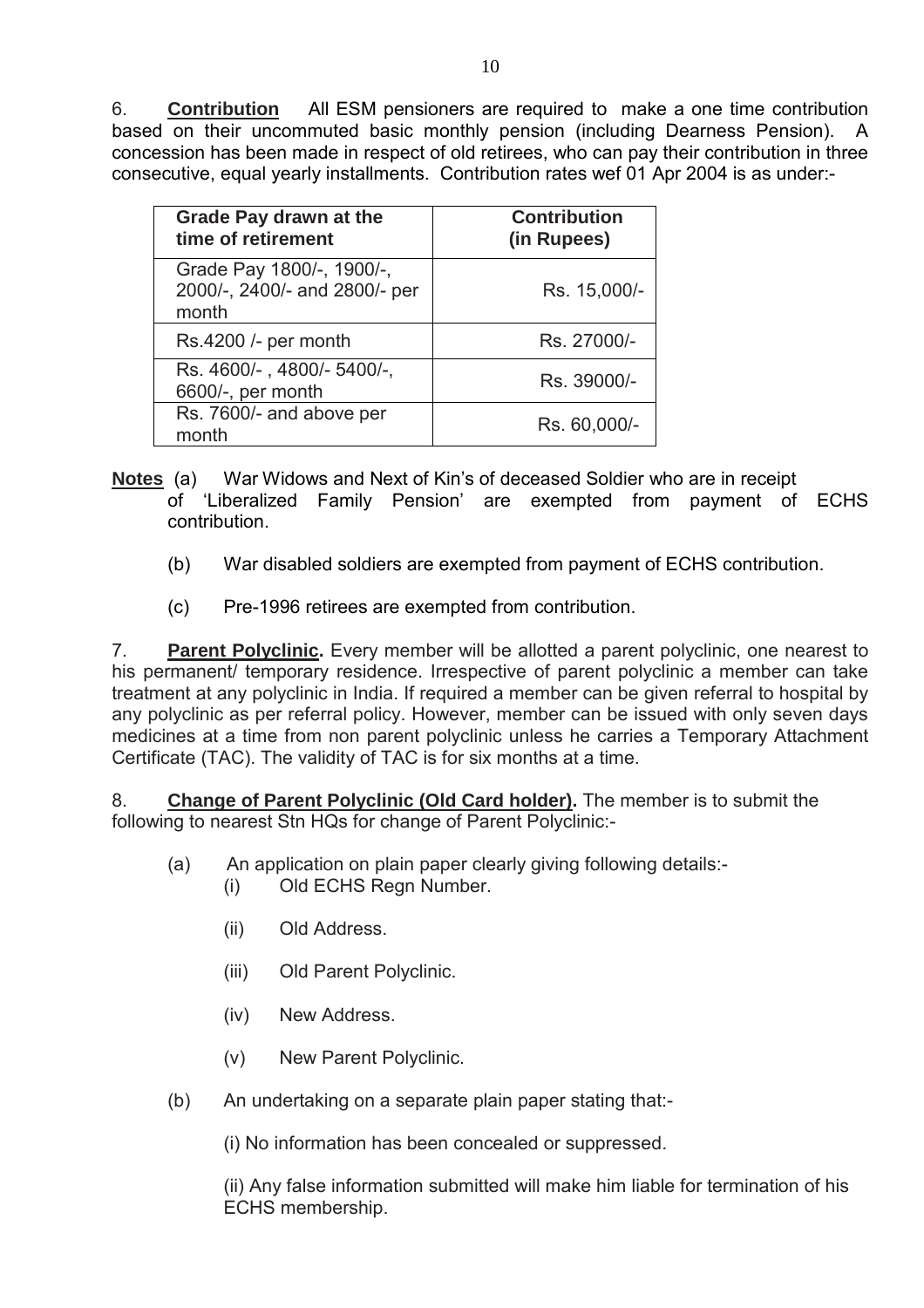6. **Contribution** All ESM pensioners are required to make a one time contribution based on their uncommuted basic monthly pension (including Dearness Pension). A concession has been made in respect of old retirees, who can pay their contribution in three consecutive, equal yearly installments. Contribution rates wef 01 Apr 2004 is as under:-

| <b>Grade Pay drawn at the</b><br>time of retirement                 | <b>Contribution</b><br>(in Rupees) |
|---------------------------------------------------------------------|------------------------------------|
| Grade Pay 1800/-, 1900/-,<br>2000/-, 2400/- and 2800/- per<br>month | Rs. 15,000/-                       |
| Rs.4200 /- per month                                                | Rs. 27000/-                        |
| Rs. 4600/-, 4800/-5400/-,<br>6600/-, per month                      | Rs. 39000/-                        |
| Rs. 7600/- and above per<br>month                                   | Rs. 60,000/-                       |

- **Notes** (a) War Widows and Next of Kin's of deceased Soldier who are in receipt of 'Liberalized Family Pension' are exempted from payment of ECHS contribution.
	- (b) War disabled soldiers are exempted from payment of ECHS contribution.
	- (c) Pre-1996 retirees are exempted from contribution.

7. **Parent Polyclinic.** Every member will be allotted a parent polyclinic, one nearest to his permanent/ temporary residence. Irrespective of parent polyclinic a member can take treatment at any polyclinic in India. If required a member can be given referral to hospital by any polyclinic as per referral policy. However, member can be issued with only seven days medicines at a time from non parent polyclinic unless he carries a Temporary Attachment Certificate (TAC). The validity of TAC is for six months at a time.

8. **Change of Parent Polyclinic (Old Card holder).** The member is to submit the following to nearest Stn HQs for change of Parent Polyclinic:-

- (a) An application on plain paper clearly giving following details:-
	- (i) Old ECHS Regn Number.
		- (ii) Old Address.
		- (iii) Old Parent Polyclinic.
		- (iv) New Address.
		- (v) New Parent Polyclinic.
- (b) An undertaking on a separate plain paper stating that:-

(i) No information has been concealed or suppressed.

(ii) Any false information submitted will make him liable for termination of his ECHS membership.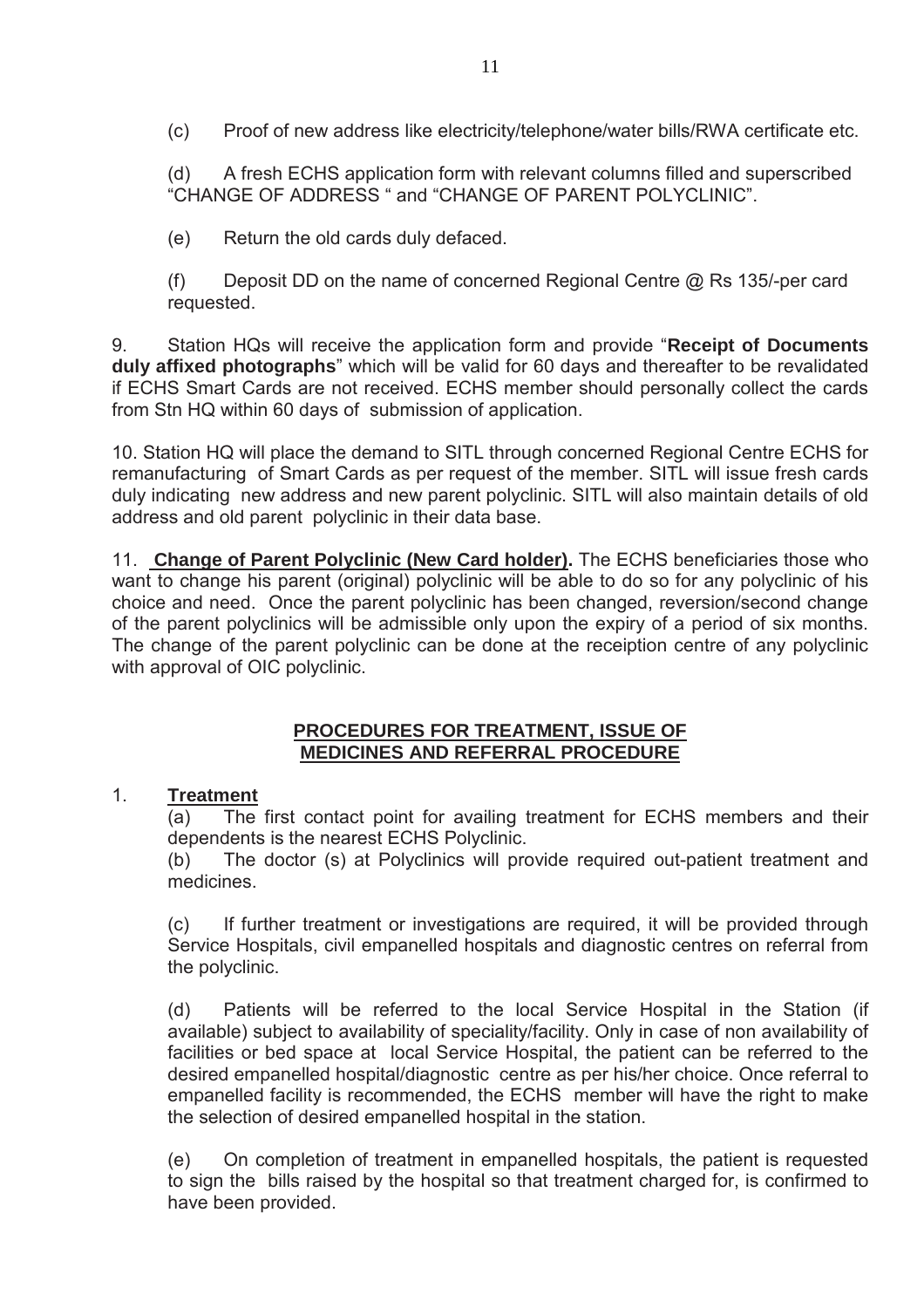(c) Proof of new address like electricity/telephone/water bills/RWA certificate etc.

(d) A fresh ECHS application form with relevant columns filled and superscribed "CHANGE OF ADDRESS " and "CHANGE OF PARENT POLYCLINIC".

(e) Return the old cards duly defaced.

(f) Deposit DD on the name of concerned Regional Centre @ Rs 135/-per card requested.

9. Station HQs will receive the application form and provide "**Receipt of Documents duly affixed photographs**" which will be valid for 60 days and thereafter to be revalidated if ECHS Smart Cards are not received. ECHS member should personally collect the cards from Stn HQ within 60 days of submission of application.

10. Station HQ will place the demand to SITL through concerned Regional Centre ECHS for remanufacturing of Smart Cards as per request of the member. SITL will issue fresh cards duly indicating new address and new parent polyclinic. SITL will also maintain details of old address and old parent polyclinic in their data base.

11. **Change of Parent Polyclinic (New Card holder).** The ECHS beneficiaries those who want to change his parent (original) polyclinic will be able to do so for any polyclinic of his choice and need. Once the parent polyclinic has been changed, reversion/second change of the parent polyclinics will be admissible only upon the expiry of a period of six months. The change of the parent polyclinic can be done at the receiption centre of any polyclinic with approval of OIC polyclinic.

#### **PROCEDURES FOR TREATMENT, ISSUE OF MEDICINES AND REFERRAL PROCEDURE**

# 1. **Treatment**

(a) The first contact point for availing treatment for ECHS members and their dependents is the nearest ECHS Polyclinic.

(b) The doctor (s) at Polyclinics will provide required out-patient treatment and medicines.

(c) If further treatment or investigations are required, it will be provided through Service Hospitals, civil empanelled hospitals and diagnostic centres on referral from the polyclinic.

(d) Patients will be referred to the local Service Hospital in the Station (if available) subject to availability of speciality/facility. Only in case of non availability of facilities or bed space at local Service Hospital, the patient can be referred to the desired empanelled hospital/diagnostic centre as per his/her choice. Once referral to empanelled facility is recommended, the ECHS member will have the right to make the selection of desired empanelled hospital in the station.

(e) On completion of treatment in empanelled hospitals, the patient is requested to sign the bills raised by the hospital so that treatment charged for, is confirmed to have been provided.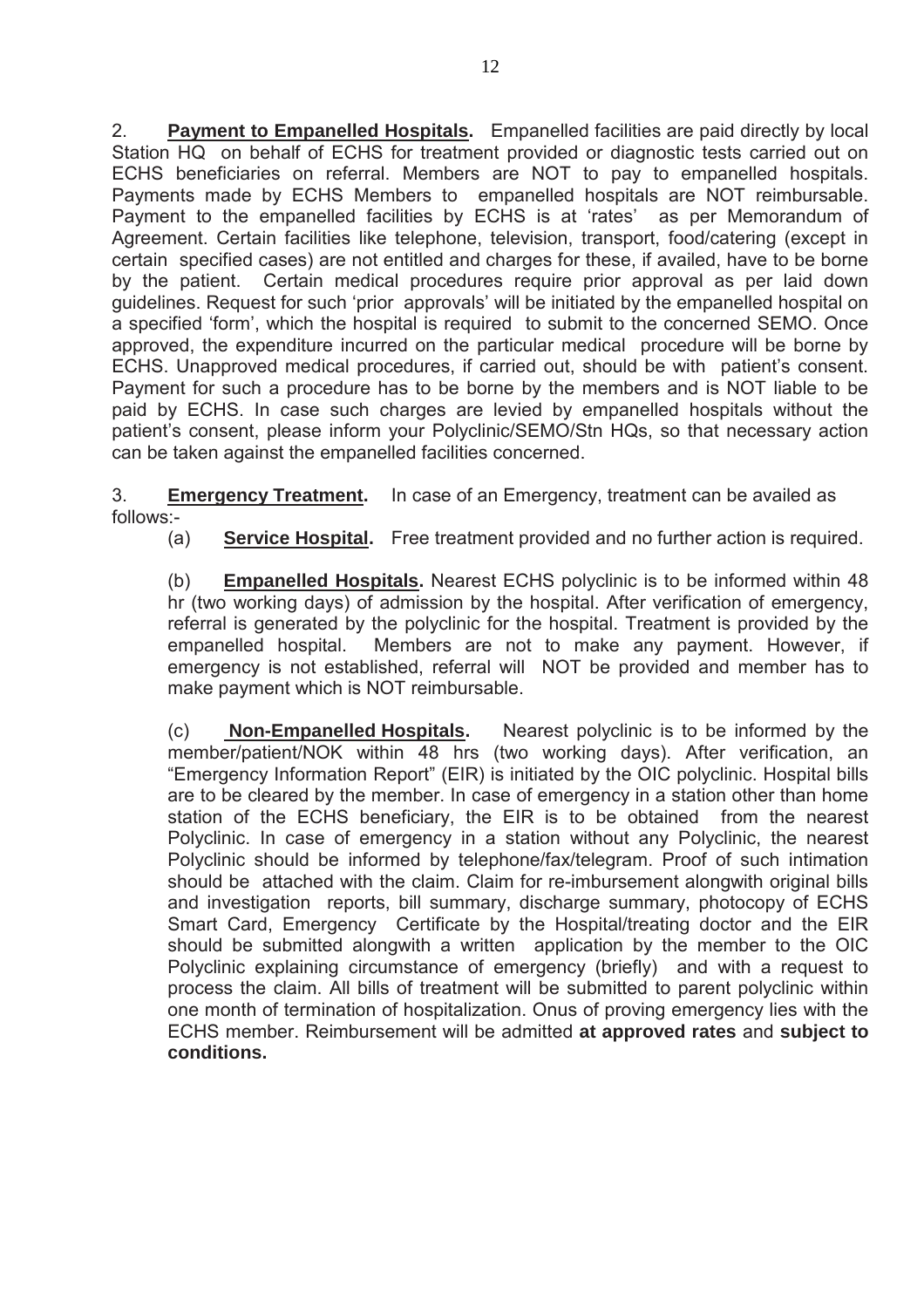2. **Payment to Empanelled Hospitals.** Empanelled facilities are paid directly by local Station HQ on behalf of ECHS for treatment provided or diagnostic tests carried out on ECHS beneficiaries on referral. Members are NOT to pay to empanelled hospitals. Payments made by ECHS Members to empanelled hospitals are NOT reimbursable. Payment to the empanelled facilities by ECHS is at 'rates' as per Memorandum of Agreement. Certain facilities like telephone, television, transport, food/catering (except in certain specified cases) are not entitled and charges for these, if availed, have to be borne by the patient. Certain medical procedures require prior approval as per laid down guidelines. Request for such 'prior approvals' will be initiated by the empanelled hospital on a specified 'form', which the hospital is required to submit to the concerned SEMO. Once approved, the expenditure incurred on the particular medical procedure will be borne by ECHS. Unapproved medical procedures, if carried out, should be with patient's consent. Payment for such a procedure has to be borne by the members and is NOT liable to be paid by ECHS. In case such charges are levied by empanelled hospitals without the patient's consent, please inform your Polyclinic/SEMO/Stn HQs, so that necessary action can be taken against the empanelled facilities concerned.

3. **Emergency Treatment.** In case of an Emergency, treatment can be availed as follows:-

(a) **Service Hospital.** Free treatment provided and no further action is required.

(b) **Empanelled Hospitals.** Nearest ECHS polyclinic is to be informed within 48 hr (two working days) of admission by the hospital. After verification of emergency, referral is generated by the polyclinic for the hospital. Treatment is provided by the empanelled hospital. Members are not to make any payment. However, if emergency is not established, referral will NOT be provided and member has to make payment which is NOT reimbursable.

(c) **Non-Empanelled Hospitals.** Nearest polyclinic is to be informed by the member/patient/NOK within 48 hrs (two working days). After verification, an "Emergency Information Report" (EIR) is initiated by the OIC polyclinic. Hospital bills are to be cleared by the member. In case of emergency in a station other than home station of the ECHS beneficiary, the EIR is to be obtained from the nearest Polyclinic. In case of emergency in a station without any Polyclinic, the nearest Polyclinic should be informed by telephone/fax/telegram. Proof of such intimation should be attached with the claim. Claim for re-imbursement alongwith original bills and investigation reports, bill summary, discharge summary, photocopy of ECHS Smart Card, Emergency Certificate by the Hospital/treating doctor and the EIR should be submitted alongwith a written application by the member to the OIC Polyclinic explaining circumstance of emergency (briefly) and with a request to process the claim. All bills of treatment will be submitted to parent polyclinic within one month of termination of hospitalization. Onus of proving emergency lies with the ECHS member. Reimbursement will be admitted **at approved rates** and **subject to conditions.**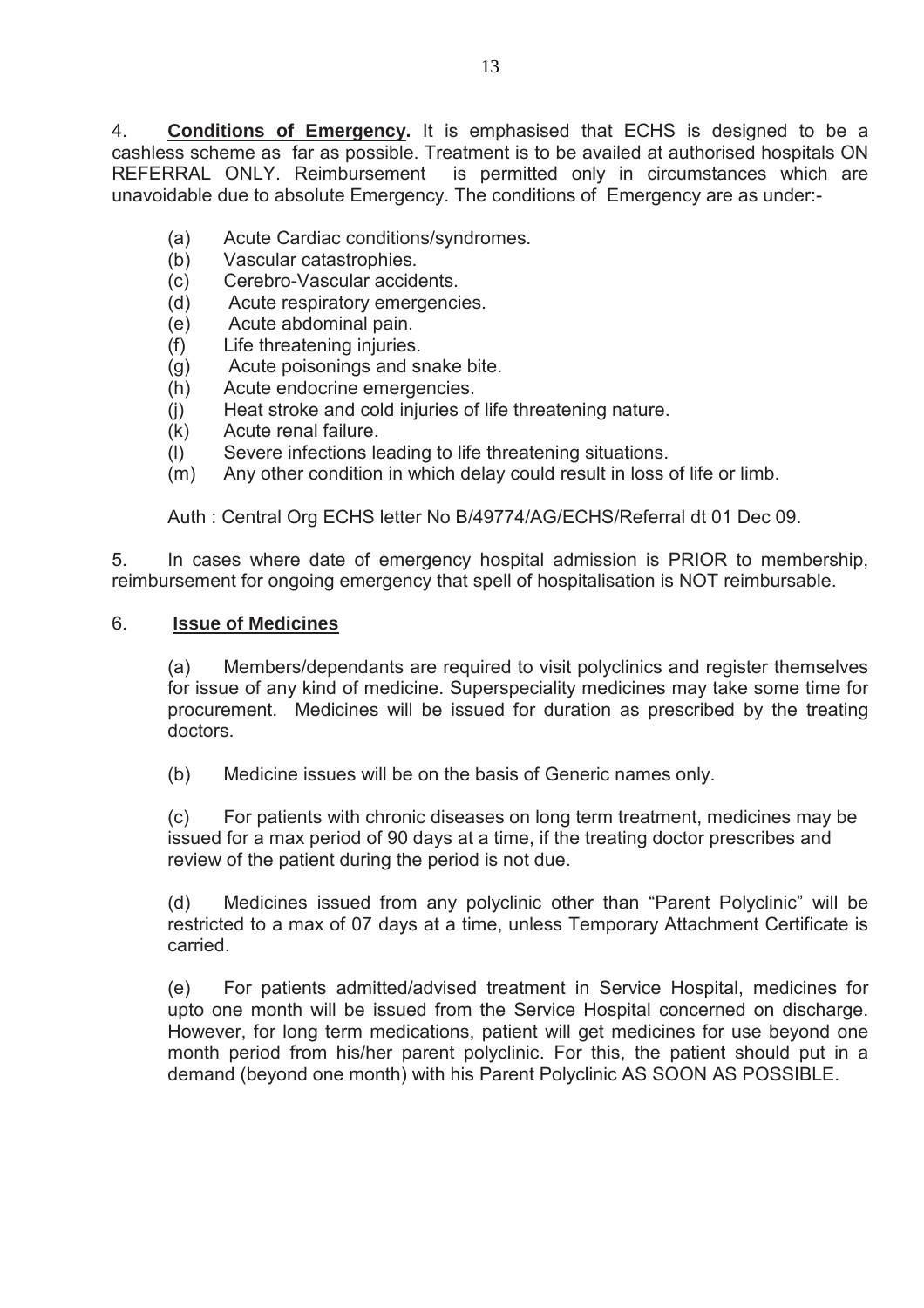4. **Conditions of Emergency.** It is emphasised that ECHS is designed to be a cashless scheme as far as possible. Treatment is to be availed at authorised hospitals ON is permitted only in circumstances which are unavoidable due to absolute Emergency. The conditions of Emergency are as under:-

- (a) Acute Cardiac conditions/syndromes.
- (b) Vascular catastrophies.
- (c) Cerebro-Vascular accidents.
- (d) Acute respiratory emergencies.
- (e) Acute abdominal pain.
- (f) Life threatening injuries.
- (g) Acute poisonings and snake bite.
- (h) Acute endocrine emergencies.
- (j) Heat stroke and cold injuries of life threatening nature.
- (k) Acute renal failure.
- (l) Severe infections leading to life threatening situations.
- (m) Any other condition in which delay could result in loss of life or limb.

Auth : Central Org ECHS letter No B/49774/AG/ECHS/Referral dt 01 Dec 09.

5. In cases where date of emergency hospital admission is PRIOR to membership, reimbursement for ongoing emergency that spell of hospitalisation is NOT reimbursable.

#### 6. **Issue of Medicines**

(a) Members/dependants are required to visit polyclinics and register themselves for issue of any kind of medicine. Superspeciality medicines may take some time for procurement. Medicines will be issued for duration as prescribed by the treating doctors.

(b) Medicine issues will be on the basis of Generic names only.

(c) For patients with chronic diseases on long term treatment, medicines may be issued for a max period of 90 days at a time, if the treating doctor prescribes and review of the patient during the period is not due.

(d) Medicines issued from any polyclinic other than "Parent Polyclinic" will be restricted to a max of 07 days at a time, unless Temporary Attachment Certificate is carried.

(e) For patients admitted/advised treatment in Service Hospital, medicines for upto one month will be issued from the Service Hospital concerned on discharge. However, for long term medications, patient will get medicines for use beyond one month period from his/her parent polyclinic. For this, the patient should put in a demand (beyond one month) with his Parent Polyclinic AS SOON AS POSSIBLE.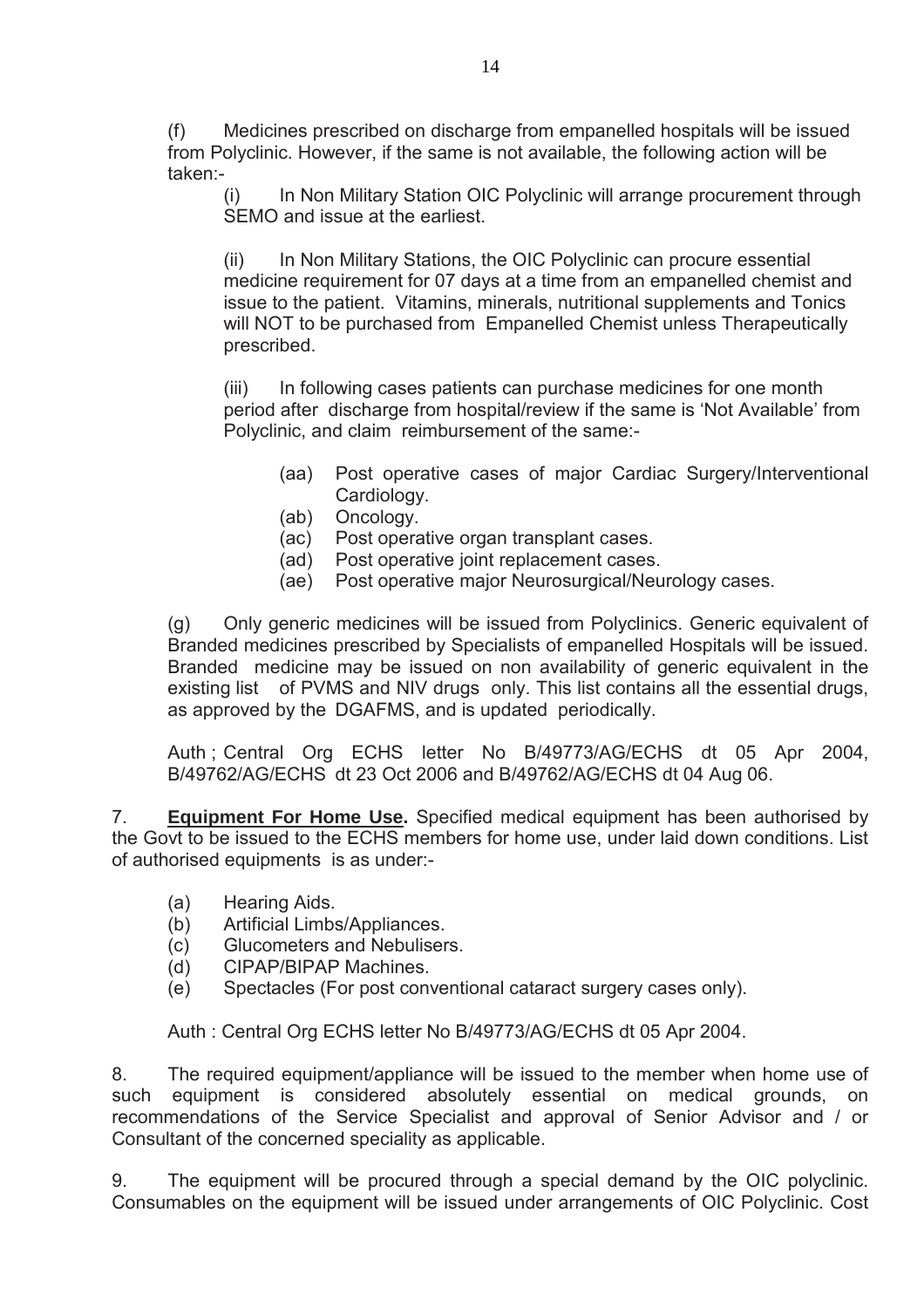(f) Medicines prescribed on discharge from empanelled hospitals will be issued from Polyclinic. However, if the same is not available, the following action will be taken:-

(i) In Non Military Station OIC Polyclinic will arrange procurement through SEMO and issue at the earliest.

(ii) In Non Military Stations, the OIC Polyclinic can procure essential medicine requirement for 07 days at a time from an empanelled chemist and issue to the patient. Vitamins, minerals, nutritional supplements and Tonics will NOT to be purchased from Empanelled Chemist unless Therapeutically prescribed.

(iii) In following cases patients can purchase medicines for one month period after discharge from hospital/review if the same is 'Not Available' from Polyclinic, and claim reimbursement of the same:-

- (aa) Post operative cases of major Cardiac Surgery/Interventional Cardiology.
- (ab) Oncology.
- (ac) Post operative organ transplant cases.
- (ad) Post operative joint replacement cases.
- (ae) Post operative major Neurosurgical/Neurology cases.

 (g) Only generic medicines will be issued from Polyclinics. Generic equivalent of Branded medicines prescribed by Specialists of empanelled Hospitals will be issued. Branded medicine may be issued on non availability of generic equivalent in the existing list of PVMS and NIV drugs only. This list contains all the essential drugs, as approved by the DGAFMS, and is updated periodically.

 Auth ; Central Org ECHS letter No B/49773/AG/ECHS dt 05 Apr 2004, B/49762/AG/ECHS dt 23 Oct 2006 and B/49762/AG/ECHS dt 04 Aug 06.

7. **Equipment For Home Use.** Specified medical equipment has been authorised by the Govt to be issued to the ECHS members for home use, under laid down conditions. List of authorised equipments is as under:-

- (a) Hearing Aids.
- (b) Artificial Limbs/Appliances.
- (c) Glucometers and Nebulisers.
- (d) CIPAP/BIPAP Machines.
- (e) Spectacles (For post conventional cataract surgery cases only).

Auth : Central Org ECHS letter No B/49773/AG/ECHS dt 05 Apr 2004.

8. The required equipment/appliance will be issued to the member when home use of such equipment is considered absolutely essential on medical grounds, on recommendations of the Service Specialist and approval of Senior Advisor and / or Consultant of the concerned speciality as applicable.

9. The equipment will be procured through a special demand by the OIC polyclinic. Consumables on the equipment will be issued under arrangements of OIC Polyclinic. Cost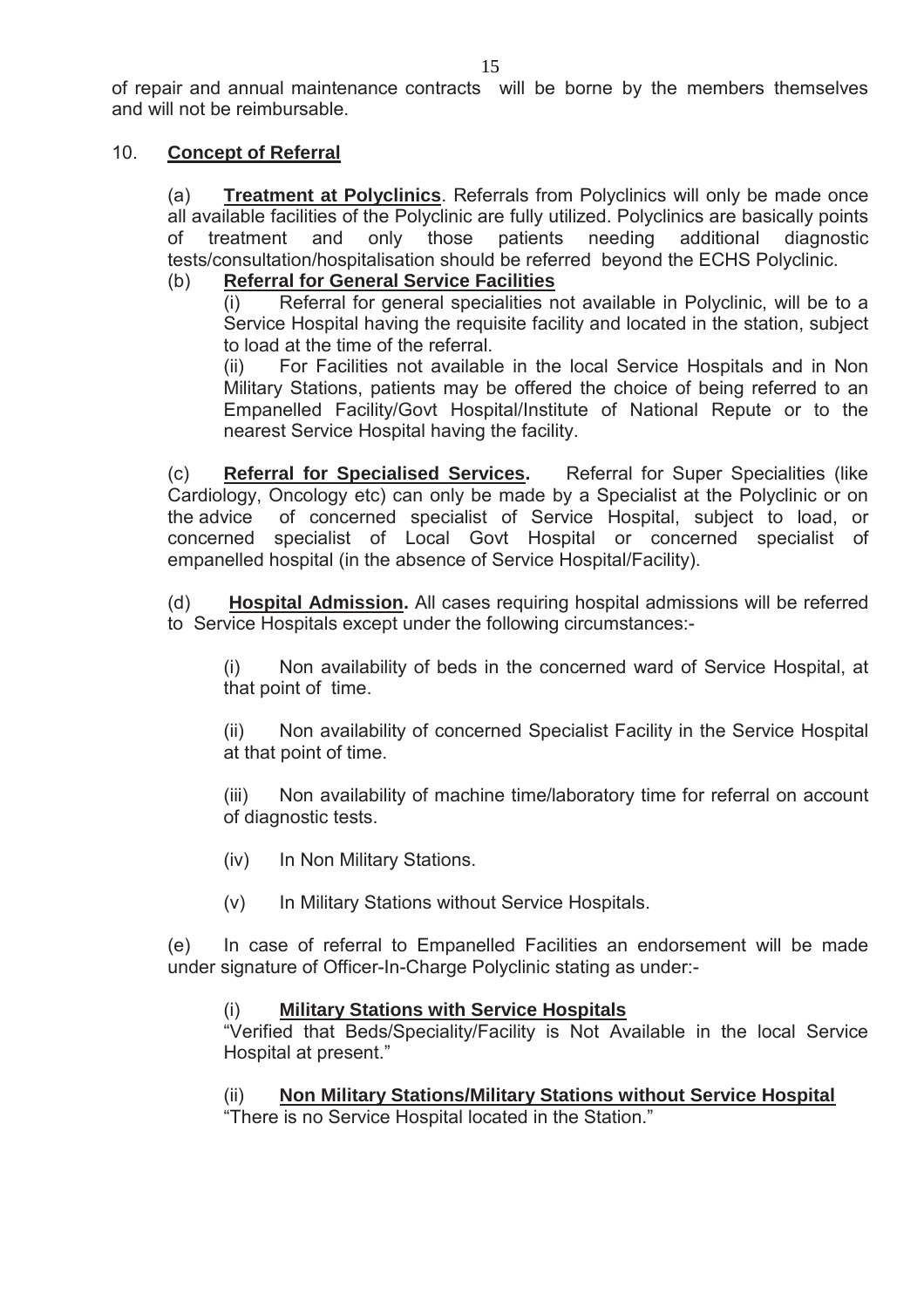of repair and annual maintenance contracts will be borne by the members themselves and will not be reimbursable.

### 10. **Concept of Referral**

(a) **Treatment at Polyclinics**. Referrals from Polyclinics will only be made once all available facilities of the Polyclinic are fully utilized. Polyclinics are basically points of treatment and only those patients needing additional diagnostic tests/consultation/hospitalisation should be referred beyond the ECHS Polyclinic.

# (b) **Referral for General Service Facilities**

 $(i)$  Referral for general specialities not available in Polyclinic, will be to a Service Hospital having the requisite facility and located in the station, subject to load at the time of the referral.

(ii) For Facilities not available in the local Service Hospitals and in Non Military Stations, patients may be offered the choice of being referred to an Empanelled Facility/Govt Hospital/Institute of National Repute or to the nearest Service Hospital having the facility.

 (c) **Referral for Specialised Services.** Referral for Super Specialities (like Cardiology, Oncology etc) can only be made by a Specialist at the Polyclinic or on the advice of concerned specialist of Service Hospital, subject to load, or concerned specialist of Local Govt Hospital or concerned specialist of empanelled hospital (in the absence of Service Hospital/Facility).

(d) **Hospital Admission.** All cases requiring hospital admissions will be referred to Service Hospitals except under the following circumstances:-

(i) Non availability of beds in the concerned ward of Service Hospital, at that point of time.

(ii) Non availability of concerned Specialist Facility in the Service Hospital at that point of time.

(iii) Non availability of machine time/laboratory time for referral on account of diagnostic tests.

- (iv) In Non Military Stations.
- (v) In Military Stations without Service Hospitals.

(e) In case of referral to Empanelled Facilities an endorsement will be made under signature of Officer-In-Charge Polyclinic stating as under:-

#### (i) **Military Stations with Service Hospitals**

"Verified that Beds/Speciality/Facility is Not Available in the local Service Hospital at present."

(ii) **Non Military Stations/Military Stations without Service Hospital**

"There is no Service Hospital located in the Station."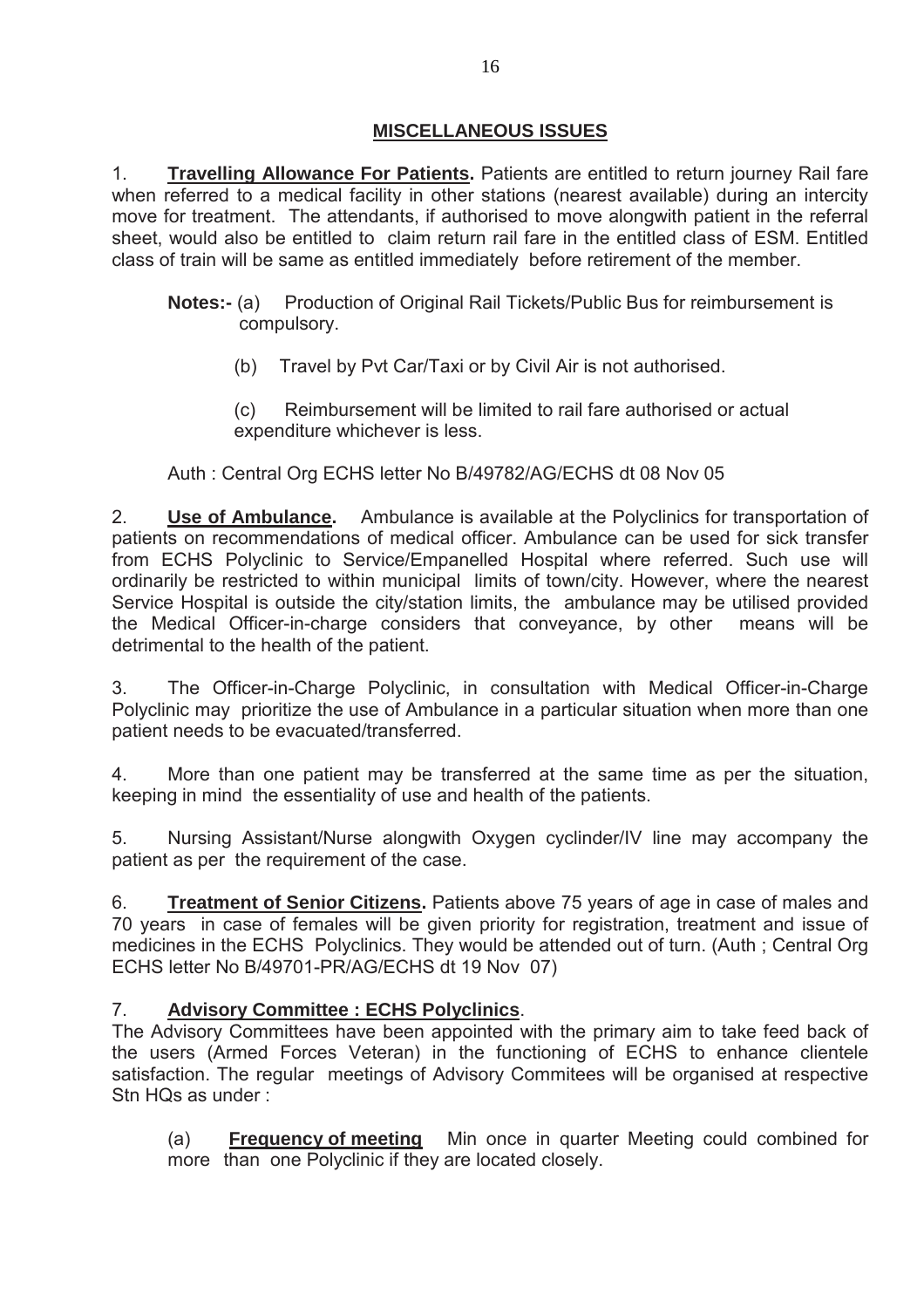# **MISCELLANEOUS ISSUES**

1. **Travelling Allowance For Patients.** Patients are entitled to return journey Rail fare when referred to a medical facility in other stations (nearest available) during an intercity move for treatment. The attendants, if authorised to move alongwith patient in the referral sheet, would also be entitled to claim return rail fare in the entitled class of ESM. Entitled class of train will be same as entitled immediately before retirement of the member.

- **Notes:- (a)** Production of Original Rail Tickets/Public Bus for reimbursement is compulsory.
	- (b) Travel by Pvt Car/Taxi or by Civil Air is not authorised.
	- (c) Reimbursement will be limited to rail fare authorised or actual expenditure whichever is less.

# Auth : Central Org ECHS letter No B/49782/AG/ECHS dt 08 Nov 05

2. **Use of Ambulance.** Ambulance is available at the Polyclinics for transportation of patients on recommendations of medical officer. Ambulance can be used for sick transfer from ECHS Polyclinic to Service/Empanelled Hospital where referred. Such use will ordinarily be restricted to within municipal limits of town/city. However, where the nearest Service Hospital is outside the city/station limits, the ambulance may be utilised provided the Medical Officer-in-charge considers that conveyance, by other means will be detrimental to the health of the patient.

3. The Officer-in-Charge Polyclinic, in consultation with Medical Officer-in-Charge Polyclinic may prioritize the use of Ambulance in a particular situation when more than one patient needs to be evacuated/transferred.

4. More than one patient may be transferred at the same time as per the situation, keeping in mind the essentiality of use and health of the patients.

5. Nursing Assistant/Nurse alongwith Oxygen cyclinder/IV line may accompany the patient as per the requirement of the case.

6. **Treatment of Senior Citizens.** Patients above 75 years of age in case of males and 70 years in case of females will be given priority for registration, treatment and issue of medicines in the ECHS Polyclinics. They would be attended out of turn. (Auth ; Central Org ECHS letter No B/49701-PR/AG/ECHS dt 19 Nov 07)

# 7. **Advisory Committee : ECHS Polyclinics**.

The Advisory Committees have been appointed with the primary aim to take feed back of the users (Armed Forces Veteran) in the functioning of ECHS to enhance clientele satisfaction. The regular meetings of Advisory Commitees will be organised at respective Stn HQs as under :

 (a) **Frequency of meeting** Min once in quarter Meeting could combined for more than one Polyclinic if they are located closely.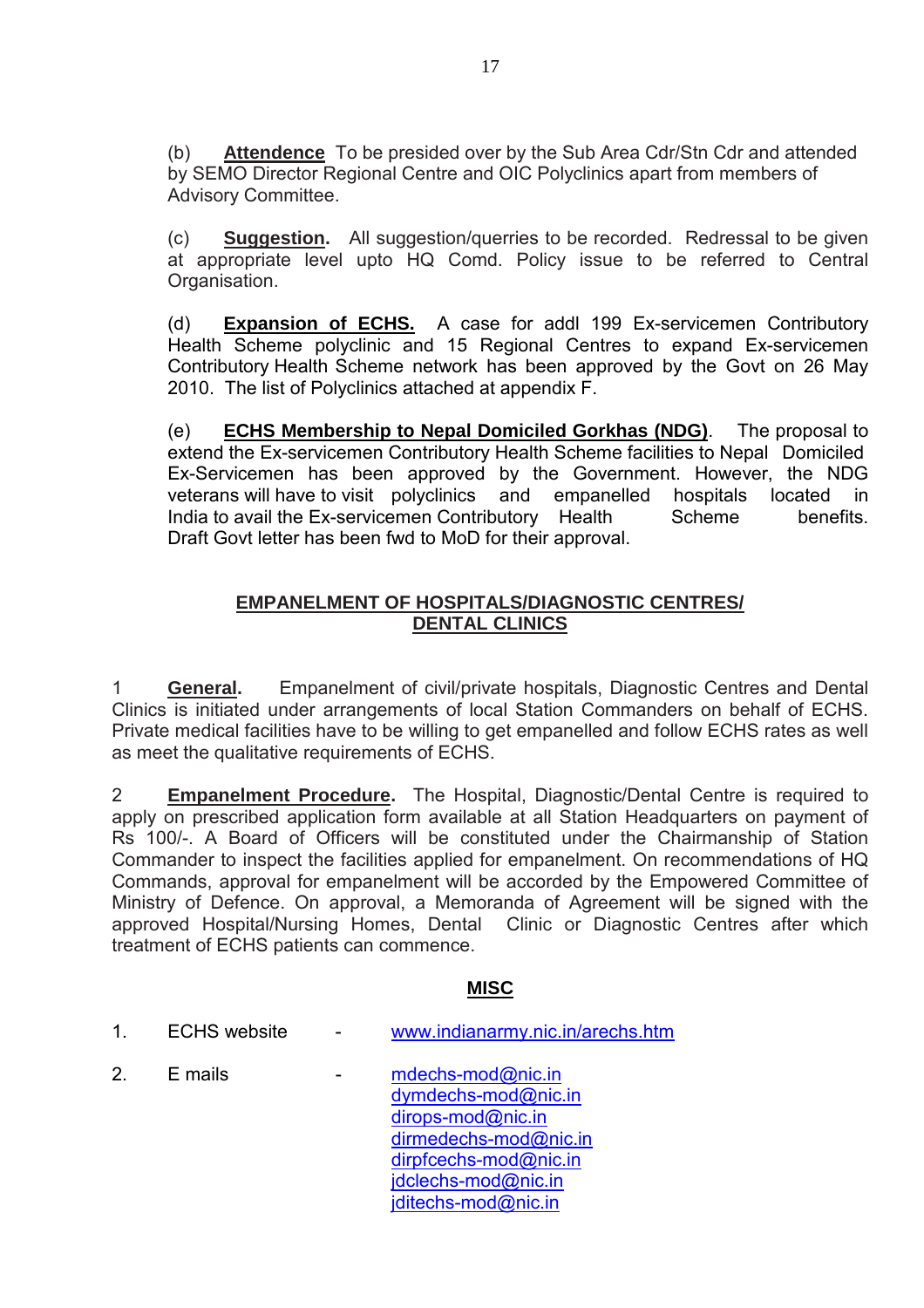(b) **Attendence** To be presided over by the Sub Area Cdr/Stn Cdr and attended by SEMO Director Regional Centre and OIC Polyclinics apart from members of Advisory Committee.

(c) **Suggestion.** All suggestion/querries to be recorded. Redressal to be given at appropriate level upto HQ Comd. Policy issue to be referred to Central Organisation.

(d) **Expansion of ECHS.** A case for addl 199 Ex-servicemen Contributory Health Scheme polyclinic and 15 Regional Centres to expand Ex-servicemen Contributory Health Scheme network has been approved by the Govt on 26 May 2010. The list of Polyclinics attached at appendix F.

 (e) **ECHS Membership to Nepal Domiciled Gorkhas (NDG)**. The proposal to extend the Ex-servicemen Contributory Health Scheme facilities to Nepal Domiciled Ex-Servicemen has been approved by the Government. However, the NDG veterans will have to visit polyclinics and empanelled hospitals located in India to avail the Ex-servicemen Contributory Health Scheme benefits. Draft Govt letter has been fwd to MoD for their approval.

# **EMPANELMENT OF HOSPITALS/DIAGNOSTIC CENTRES/ DENTAL CLINICS**

1 **General.** Empanelment of civil/private hospitals, Diagnostic Centres and Dental Clinics is initiated under arrangements of local Station Commanders on behalf of ECHS. Private medical facilities have to be willing to get empanelled and follow ECHS rates as well as meet the qualitative requirements of ECHS.

2 **Empanelment Procedure.** The Hospital, Diagnostic/Dental Centre is required to apply on prescribed application form available at all Station Headquarters on payment of Rs 100/-. A Board of Officers will be constituted under the Chairmanship of Station Commander to inspect the facilities applied for empanelment. On recommendations of HQ Commands, approval for empanelment will be accorded by the Empowered Committee of Ministry of Defence. On approval, a Memoranda of Agreement will be signed with the approved Hospital/Nursing Homes, Dental Clinic or Diagnostic Centres after which treatment of ECHS patients can commence.

# **MISC**

- 1. ECHS website www.indianarmy.nic.in/arechs.htm
- 2.  $E$  mails  $\qquad \qquad -$  mdechs-mod $\omega$ nic.in dymdechs-mod@nic.in dirops-mod@nic.in dirmedechs-mod@nic.in dirpfcechs-mod@nic.in idclechs-mod@nic.in jditechs-mod@nic.in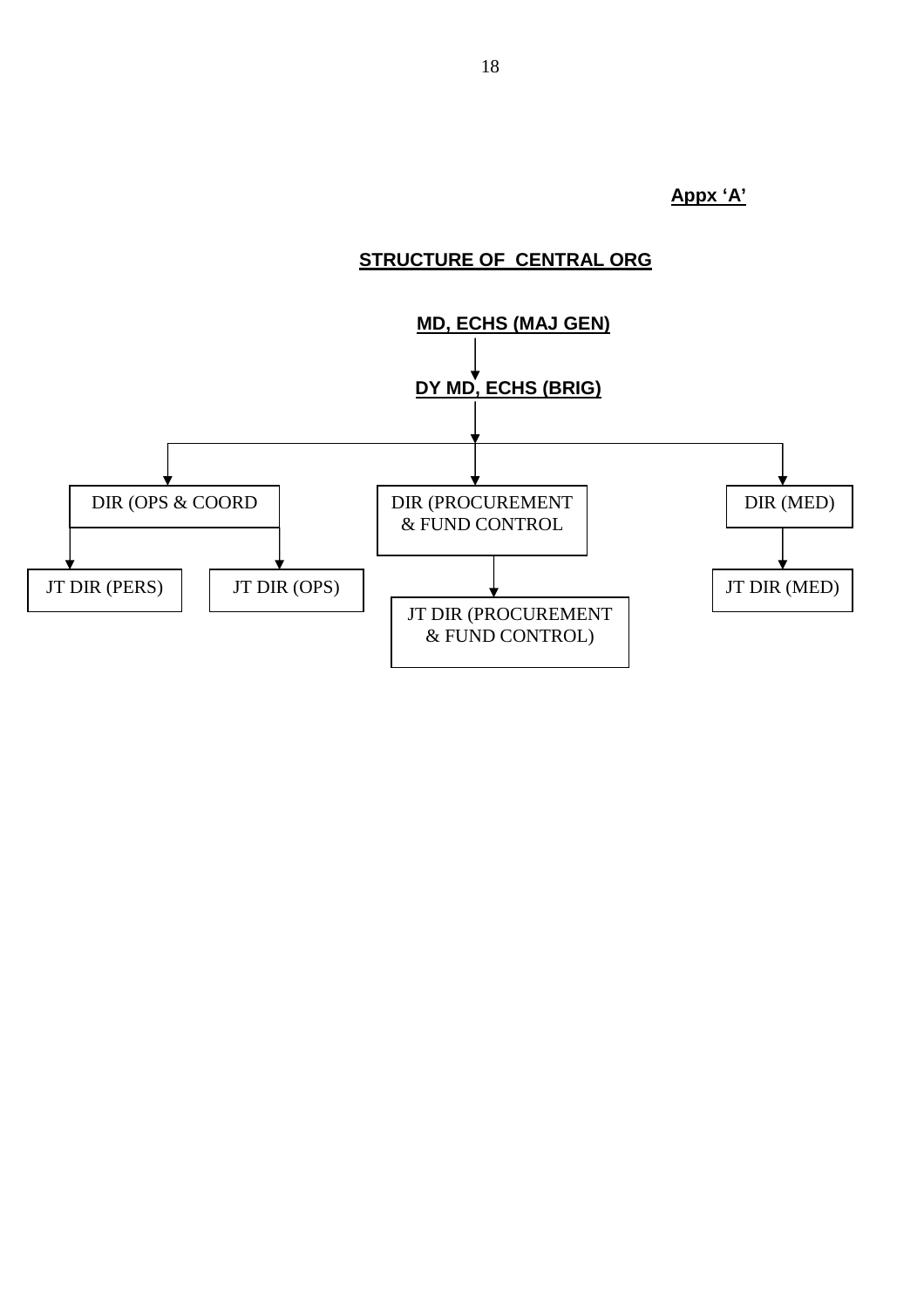**Appx 'A'**

# **STRUCTURE OF CENTRAL ORG**

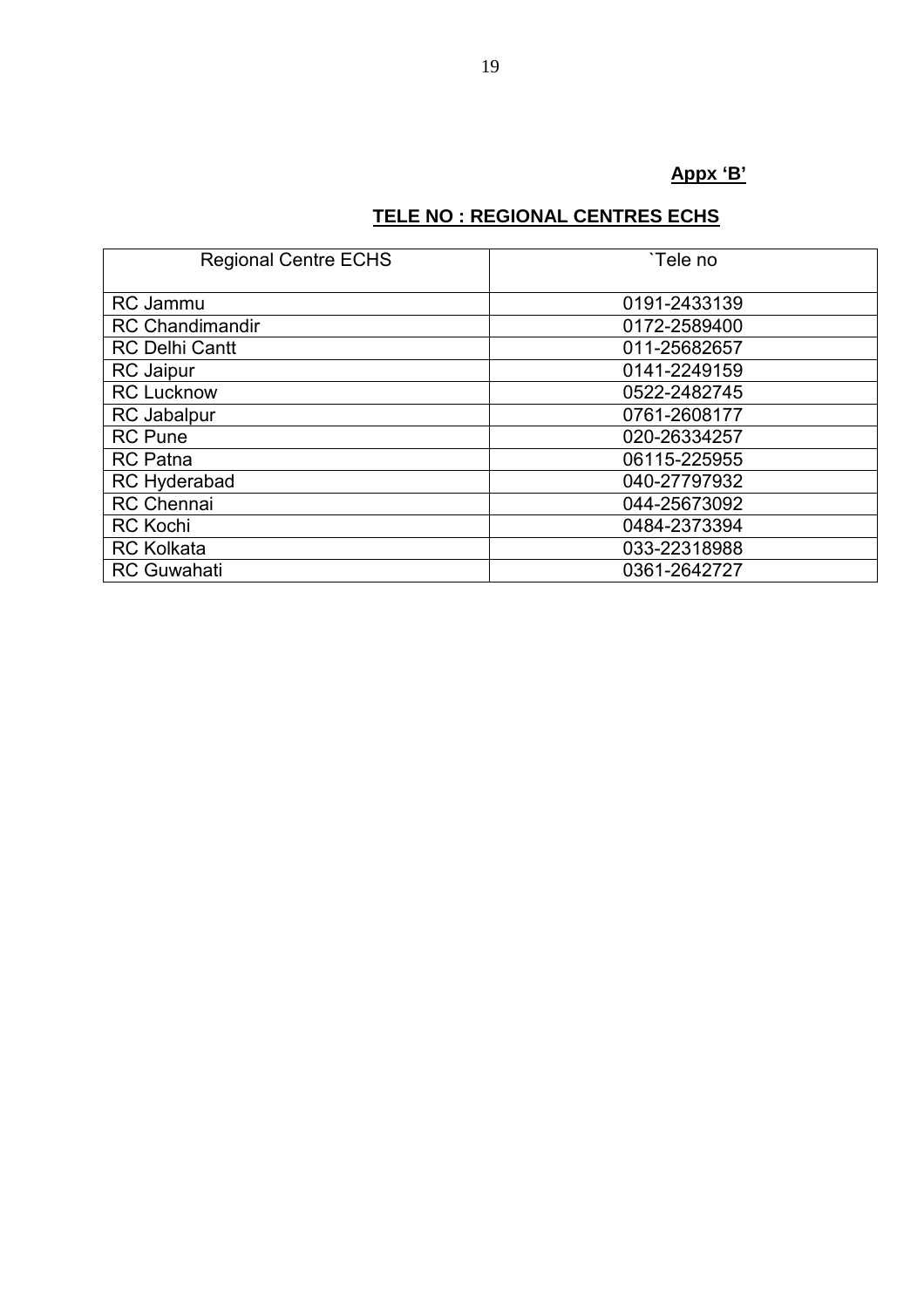# **Appx 'B'**

# **TELE NO : REGIONAL CENTRES ECHS**

| <b>Regional Centre ECHS</b> | `Tele no     |  |  |
|-----------------------------|--------------|--|--|
| <b>RC</b> Jammu             | 0191-2433139 |  |  |
| <b>RC Chandimandir</b>      | 0172-2589400 |  |  |
| <b>RC Delhi Cantt</b>       | 011-25682657 |  |  |
| <b>RC</b> Jaipur            | 0141-2249159 |  |  |
| <b>RC Lucknow</b>           | 0522-2482745 |  |  |
| <b>RC</b> Jabalpur          | 0761-2608177 |  |  |
| <b>RC</b> Pune              | 020-26334257 |  |  |
| <b>RC</b> Patna             | 06115-225955 |  |  |
| <b>RC Hyderabad</b>         | 040-27797932 |  |  |
| <b>RC</b> Chennai           | 044-25673092 |  |  |
| <b>RC Kochi</b>             | 0484-2373394 |  |  |
| <b>RC Kolkata</b>           | 033-22318988 |  |  |
| <b>RC Guwahati</b>          | 0361-2642727 |  |  |